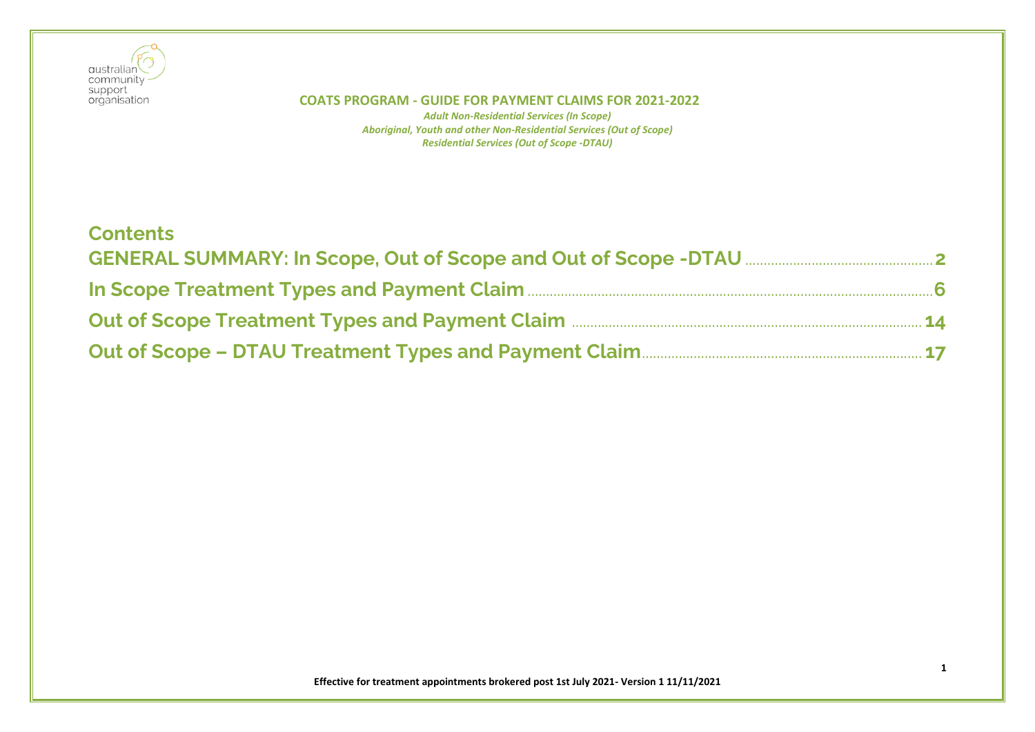

| <b>Contents</b>                                                             |  |
|-----------------------------------------------------------------------------|--|
|                                                                             |  |
|                                                                             |  |
| Out of Scope Treatment Types and Payment Claim <b>Manual Accord 2014</b> 14 |  |
|                                                                             |  |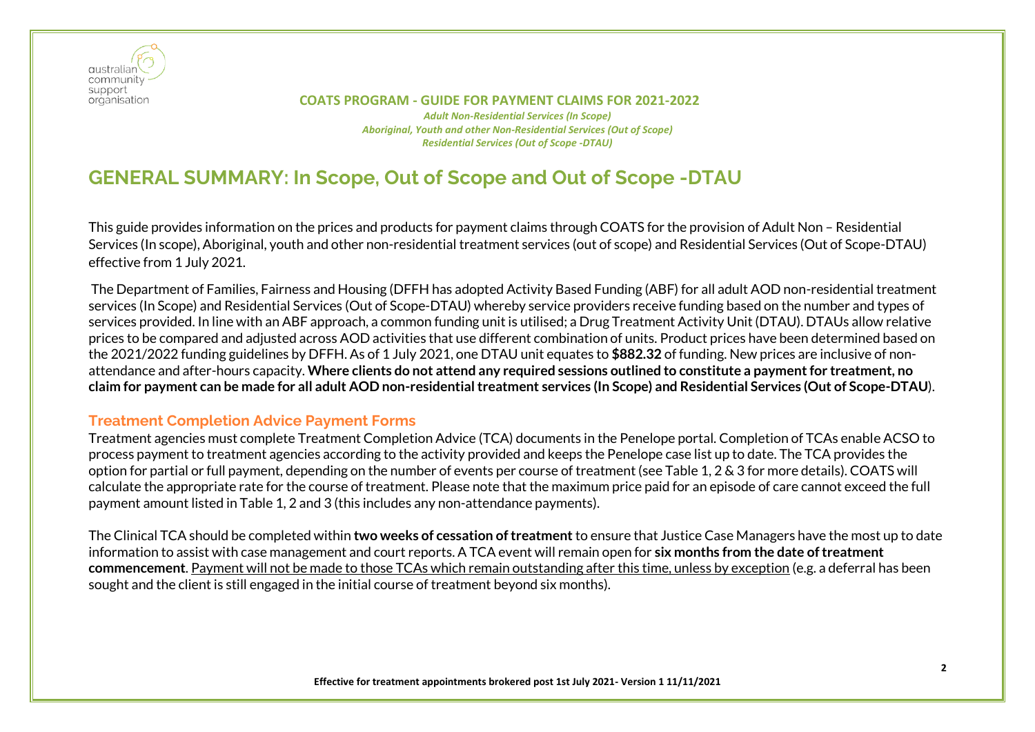

 **COATS PROGRAM - GUIDE FOR PAYMENT CLAIMS FOR 2021-2022** *Adult Non-Residential Services (In Scope) Aboriginal, Youth and other Non-Residential Services (Out of Scope) Residential Services (Out of Scope -DTAU)*

# <span id="page-1-0"></span>**GENERAL SUMMARY: In Scope, Out of Scope and Out of Scope -DTAU**

This guide provides information on the prices and products for payment claims through COATS for the provision of Adult Non – Residential Services (In scope), Aboriginal, youth and other non-residential treatment services (out of scope) and Residential Services (Out of Scope-DTAU) effective from 1 July 2021.

The Department of Families, Fairness and Housing (DFFH has adopted Activity Based Funding (ABF) for all adult AOD non-residential treatment services (In Scope) and Residential Services (Out of Scope-DTAU) whereby service providers receive funding based on the number and types of services provided. In line with an ABF approach, a common funding unit is utilised; a Drug Treatment Activity Unit (DTAU). DTAUs allow relative prices to be compared and adjusted across AOD activities that use different combination of units. Product prices have been determined based on the 2021/2022 funding guidelines by DFFH. As of 1 July 2021, one DTAU unit equates to **\$882.32** of funding. New prices are inclusive of nonattendance and after-hours capacity. **Where clients do not attend any required sessions outlined to constitute a payment for treatment, no claim for payment can be made for all adult AOD non-residential treatment services (In Scope) and Residential Services (Out of Scope-DTAU**).

# **Treatment Completion Advice Payment Forms**

Treatment agencies must complete Treatment Completion Advice (TCA) documents in the Penelope portal. Completion of TCAs enable ACSO to process payment to treatment agencies according to the activity provided and keeps the Penelope case list up to date. The TCA provides the option for partial or full payment, depending on the number of events per course of treatment (see Table 1, 2 & 3 for more details). COATS will calculate the appropriate rate for the course of treatment. Please note that the maximum price paid for an episode of care cannot exceed the full payment amount listed in Table 1, 2 and 3 (this includes any non-attendance payments).

The Clinical TCA should be completed within **two weeks of cessation of treatment** to ensure that Justice Case Managers have the most up to date information to assist with case management and court reports. A TCA event will remain open for **six months from the date of treatment commencement**. Payment will not be made to those TCAs which remain outstanding after this time, unless by exception (e.g. a deferral has been sought and the client is still engaged in the initial course of treatment beyond six months).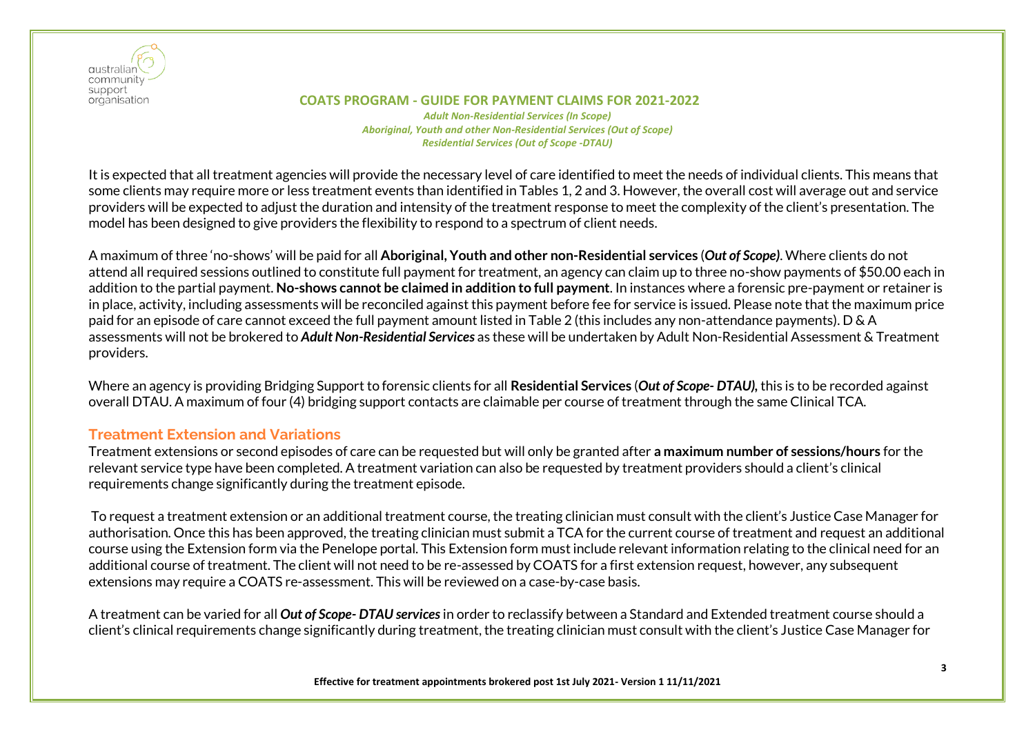

#### **COATS PROGRAM - GUIDE FOR PAYMENT CLAIMS FOR 2021-2022** *Adult Non-Residential Services (In Scope) Aboriginal, Youth and other Non-Residential Services (Out of Scope) Residential Services (Out of Scope -DTAU)*

It is expected that all treatment agencies will provide the necessary level of care identified to meet the needs of individual clients. This means that some clients may require more or less treatment events than identified in Tables 1, 2 and 3. However, the overall cost will average out and service providers will be expected to adjust the duration and intensity of the treatment response to meet the complexity of the client's presentation. The model has been designed to give providers the flexibility to respond to a spectrum of client needs.

A maximum of three 'no-shows' will be paid for all **Aboriginal, Youth and other non-Residential services** (*Out of Scope)*. Where clients do not attend all required sessions outlined to constitute full payment for treatment, an agency can claim up to three no-show payments of \$50.00 each in addition to the partial payment. **No-shows cannot be claimed in addition to full payment**. In instances where a forensic pre-payment or retainer is in place, activity, including assessments will be reconciled against this payment before fee for service is issued. Please note that the maximum price paid for an episode of care cannot exceed the full payment amount listed in Table 2 (this includes any non-attendance payments). D & A assessments will not be brokered to *Adult Non-Residential Services* as these will be undertaken by Adult Non-Residential Assessment & Treatment providers.

Where an agency is providing Bridging Support to forensic clients for all **Residential Services** (*Out of Scope- DTAU),* this is to be recorded against overall DTAU. A maximum of four (4) bridging support contacts are claimable per course of treatment through the same Clinical TCA.

# **Treatment Extension and Variations**

Treatment extensions or second episodes of care can be requested but will only be granted after **a maximum number of sessions/hours** for the relevant service type have been completed. A treatment variation can also be requested by treatment providers should a client's clinical requirements change significantly during the treatment episode.

To request a treatment extension or an additional treatment course, the treating clinician must consult with the client's Justice Case Manager for authorisation. Once this has been approved, the treating clinician must submit a TCA for the current course of treatment and request an additional course using the Extension form via the Penelope portal. This Extension form must include relevant information relating to the clinical need for an additional course of treatment. The client will not need to be re-assessed by COATS for a first extension request, however, any subsequent extensions may require a COATS re-assessment. This will be reviewed on a case-by-case basis.

A treatment can be varied for all *Out of Scope- DTAU services*in order to reclassify between a Standard and Extended treatment course should a client's clinical requirements change significantly during treatment, the treating clinician must consult with the client's Justice Case Manager for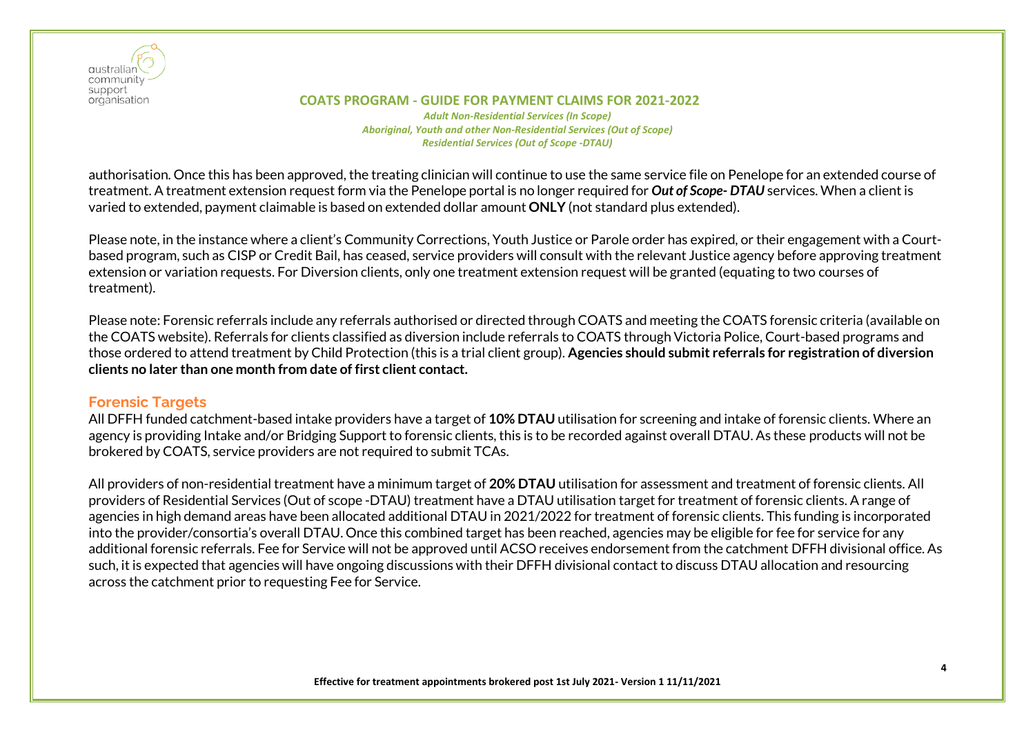

#### **COATS PROGRAM - GUIDE FOR PAYMENT CLAIMS FOR 2021-2022** *Adult Non-Residential Services (In Scope) Aboriginal, Youth and other Non-Residential Services (Out of Scope) Residential Services (Out of Scope -DTAU)*

authorisation. Once this has been approved, the treating clinician will continue to use the same service file on Penelope for an extended course of treatment. A treatment extension request form via the Penelope portal is no longer required for *Out of Scope- DTAU* services. When a client is varied to extended, payment claimable is based on extended dollar amount **ONLY** (not standard plus extended).

Please note, in the instance where a client's Community Corrections, Youth Justice or Parole order has expired, or their engagement with a Courtbased program, such as CISP or Credit Bail, has ceased, service providers will consult with the relevant Justice agency before approving treatment extension or variation requests. For Diversion clients, only one treatment extension request will be granted (equating to two courses of treatment).

Please note: Forensic referrals include any referrals authorised or directed through COATS and meeting the COATS forensic criteria (available on the COATS website). Referrals for clients classified as diversion include referrals to COATS through Victoria Police, Court-based programs and those ordered to attend treatment by Child Protection (this is a trial client group). **Agencies should submit referrals for registration of diversion clients no later than one month from date of first client contact.** 

# **Forensic Targets**

All DFFH funded catchment-based intake providers have a target of **10% DTAU** utilisation for screening and intake of forensic clients. Where an agency is providing Intake and/or Bridging Support to forensic clients, this is to be recorded against overall DTAU. As these products will not be brokered by COATS, service providers are not required to submit TCAs.

All providers of non-residential treatment have a minimum target of **20% DTAU** utilisation for assessment and treatment of forensic clients. All providers of Residential Services (Out of scope -DTAU) treatment have a DTAU utilisation target for treatment of forensic clients. A range of agencies in high demand areas have been allocated additional DTAU in 2021/2022 for treatment of forensic clients. This funding is incorporated into the provider/consortia's overall DTAU. Once this combined target has been reached, agencies may be eligible for fee for service for any additional forensic referrals. Fee for Service will not be approved until ACSO receives endorsement from the catchment DFFH divisional office. As such, it is expected that agencies will have ongoing discussions with their DFFH divisional contact to discuss DTAU allocation and resourcing across the catchment prior to requesting Fee for Service.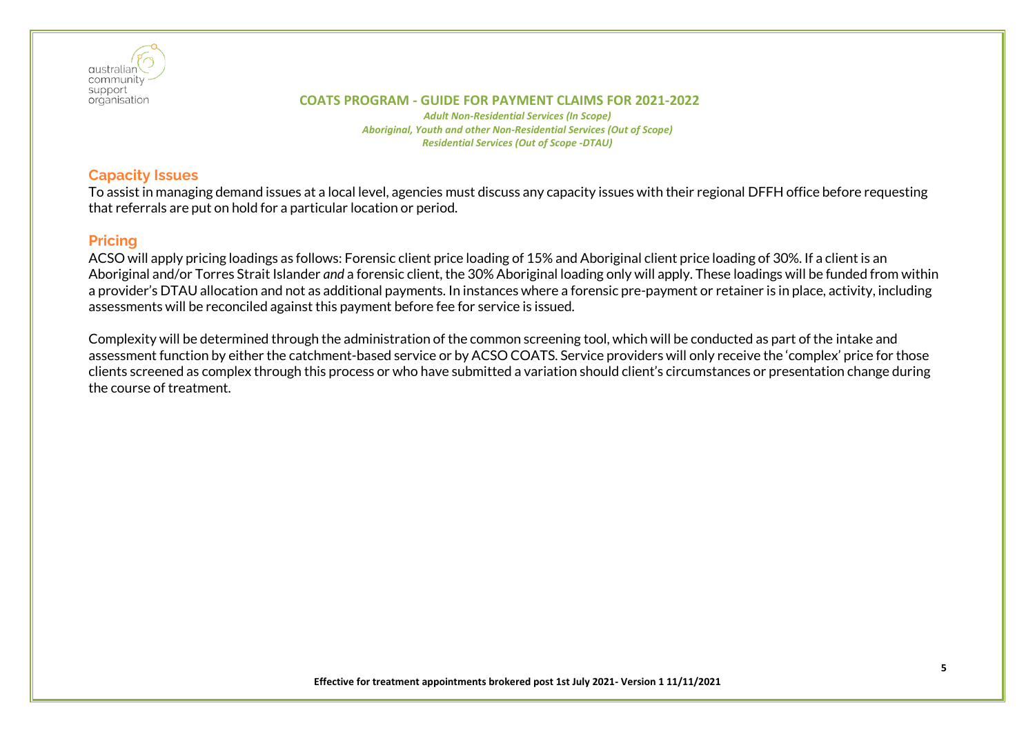

*Adult Non-Residential Services (In Scope) Aboriginal, Youth and other Non-Residential Services (Out of Scope) Residential Services (Out of Scope -DTAU)*

# **Capacity Issues**

To assist in managing demand issues at a local level, agencies must discuss any capacity issues with their regional DFFH office before requesting that referrals are put on hold for a particular location or period.

# **Pricing**

ACSO will apply pricing loadings as follows: Forensic client price loading of 15% and Aboriginal client price loading of 30%. If a client is an Aboriginal and/or Torres Strait Islander *and* a forensic client, the 30% Aboriginal loading only will apply. These loadings will be funded from within a provider's DTAU allocation and not as additional payments. In instances where a forensic pre-payment or retainer is in place, activity, including assessments will be reconciled against this payment before fee for service is issued.

Complexity will be determined through the administration of the common screening tool, which will be conducted as part of the intake and assessment function by either the catchment-based service or by ACSO COATS. Service providers will only receive the 'complex' price for those clients screened as complex through this process or who have submitted a variation should client's circumstances or presentation change during the course of treatment.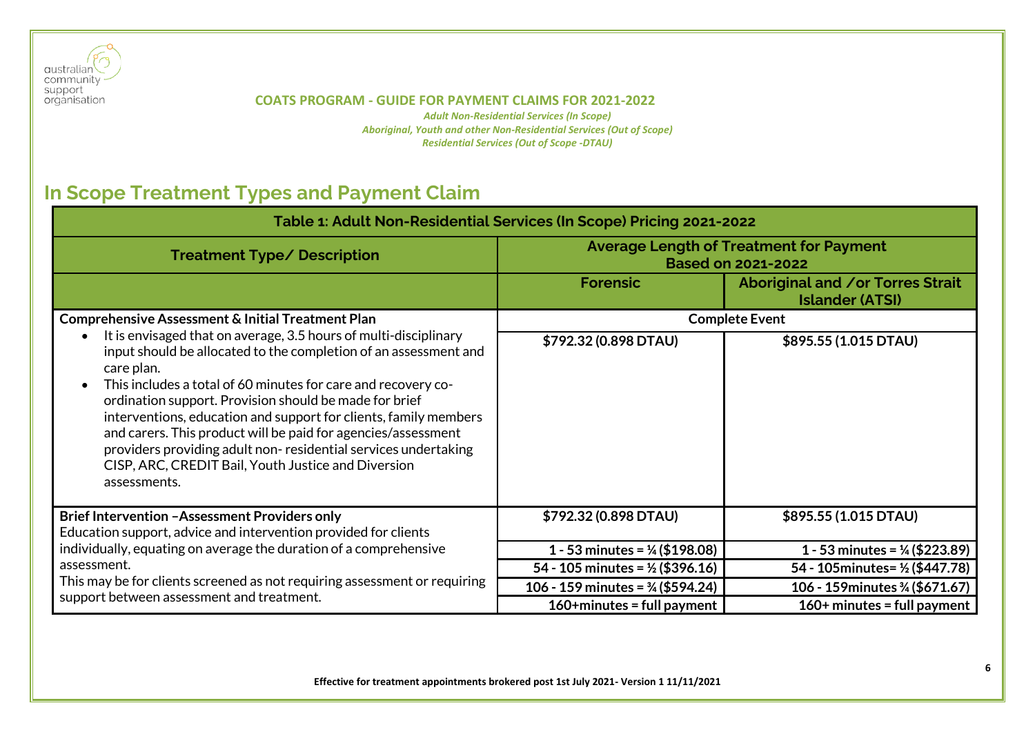

*Adult Non-Residential Services (In Scope) Aboriginal, Youth and other Non-Residential Services (Out of Scope) Residential Services (Out of Scope -DTAU)*

# <span id="page-5-0"></span>**In Scope Treatment Types and Payment Claim**

| Table 1: Adult Non-Residential Services (In Scope) Pricing 2021-2022                                                                                                                                                                                                                                                                                                                                                                                                                                                                                        |                                                                             |                                                                   |  |
|-------------------------------------------------------------------------------------------------------------------------------------------------------------------------------------------------------------------------------------------------------------------------------------------------------------------------------------------------------------------------------------------------------------------------------------------------------------------------------------------------------------------------------------------------------------|-----------------------------------------------------------------------------|-------------------------------------------------------------------|--|
| <b>Treatment Type/ Description</b>                                                                                                                                                                                                                                                                                                                                                                                                                                                                                                                          | <b>Average Length of Treatment for Payment</b><br><b>Based on 2021-2022</b> |                                                                   |  |
|                                                                                                                                                                                                                                                                                                                                                                                                                                                                                                                                                             | <b>Forensic</b>                                                             | <b>Aboriginal and /or Torres Strait</b><br><b>Islander (ATSI)</b> |  |
| <b>Comprehensive Assessment &amp; Initial Treatment Plan</b>                                                                                                                                                                                                                                                                                                                                                                                                                                                                                                |                                                                             | <b>Complete Event</b>                                             |  |
| It is envisaged that on average, 3.5 hours of multi-disciplinary<br>input should be allocated to the completion of an assessment and<br>care plan.<br>This includes a total of 60 minutes for care and recovery co-<br>ordination support. Provision should be made for brief<br>interventions, education and support for clients, family members<br>and carers. This product will be paid for agencies/assessment<br>providers providing adult non-residential services undertaking<br>CISP, ARC, CREDIT Bail, Youth Justice and Diversion<br>assessments. | \$792.32 (0.898 DTAU)                                                       | \$895.55 (1.015 DTAU)                                             |  |
| <b>Brief Intervention -Assessment Providers only</b>                                                                                                                                                                                                                                                                                                                                                                                                                                                                                                        | \$792.32 (0.898 DTAU)                                                       | \$895.55 (1.015 DTAU)                                             |  |
| Education support, advice and intervention provided for clients                                                                                                                                                                                                                                                                                                                                                                                                                                                                                             |                                                                             |                                                                   |  |
| individually, equating on average the duration of a comprehensive                                                                                                                                                                                                                                                                                                                                                                                                                                                                                           | 1 - 53 minutes = $\frac{1}{4}$ (\$198.08)                                   | 1 - 53 minutes = $\frac{1}{4}$ (\$223.89)                         |  |
| assessment.                                                                                                                                                                                                                                                                                                                                                                                                                                                                                                                                                 | 54 - 105 minutes = $\frac{1}{2}$ (\$396.16)                                 | 54 - 105 minutes = 1/2 (\$447.78)                                 |  |
| This may be for clients screened as not requiring assessment or requiring                                                                                                                                                                                                                                                                                                                                                                                                                                                                                   | 106 - 159 minutes = $\frac{3}{4}$ (\$594.24)                                | 106 - 159 minutes 3/4 (\$671.67)                                  |  |
| support between assessment and treatment.                                                                                                                                                                                                                                                                                                                                                                                                                                                                                                                   | $160+$ minutes = full payment                                               | $160+$ minutes = full payment                                     |  |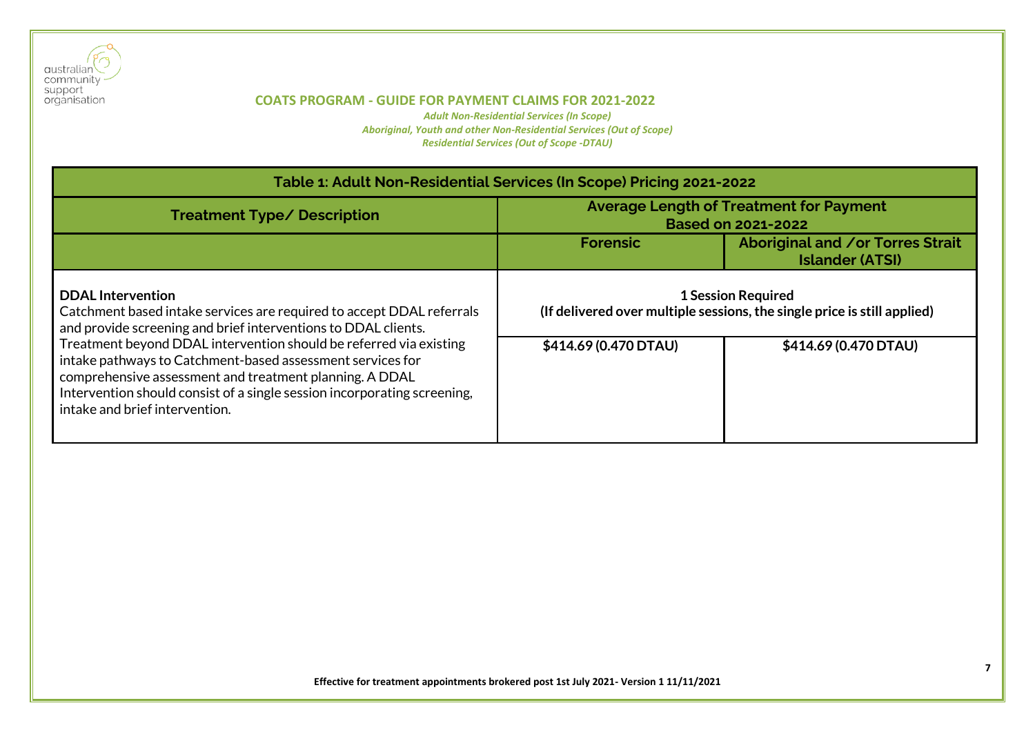

| Table 1: Adult Non-Residential Services (In Scope) Pricing 2021-2022                                                                                                                                                                                                                                      |                                                                                                       |                       |  |
|-----------------------------------------------------------------------------------------------------------------------------------------------------------------------------------------------------------------------------------------------------------------------------------------------------------|-------------------------------------------------------------------------------------------------------|-----------------------|--|
| <b>Treatment Type/ Description</b>                                                                                                                                                                                                                                                                        | <b>Average Length of Treatment for Payment</b><br><b>Based on 2021-2022</b>                           |                       |  |
|                                                                                                                                                                                                                                                                                                           | Aboriginal and /or Torres Strait<br><b>Forensic</b><br><b>Islander (ATSI)</b>                         |                       |  |
| <b>DDAL</b> Intervention<br>Catchment based intake services are required to accept DDAL referrals<br>and provide screening and brief interventions to DDAL clients.                                                                                                                                       | <b>1 Session Required</b><br>(If delivered over multiple sessions, the single price is still applied) |                       |  |
| Treatment beyond DDAL intervention should be referred via existing<br>intake pathways to Catchment-based assessment services for<br>comprehensive assessment and treatment planning. A DDAL<br>Intervention should consist of a single session incorporating screening,<br>intake and brief intervention. | \$414.69 (0.470 DTAU)                                                                                 | \$414.69 (0.470 DTAU) |  |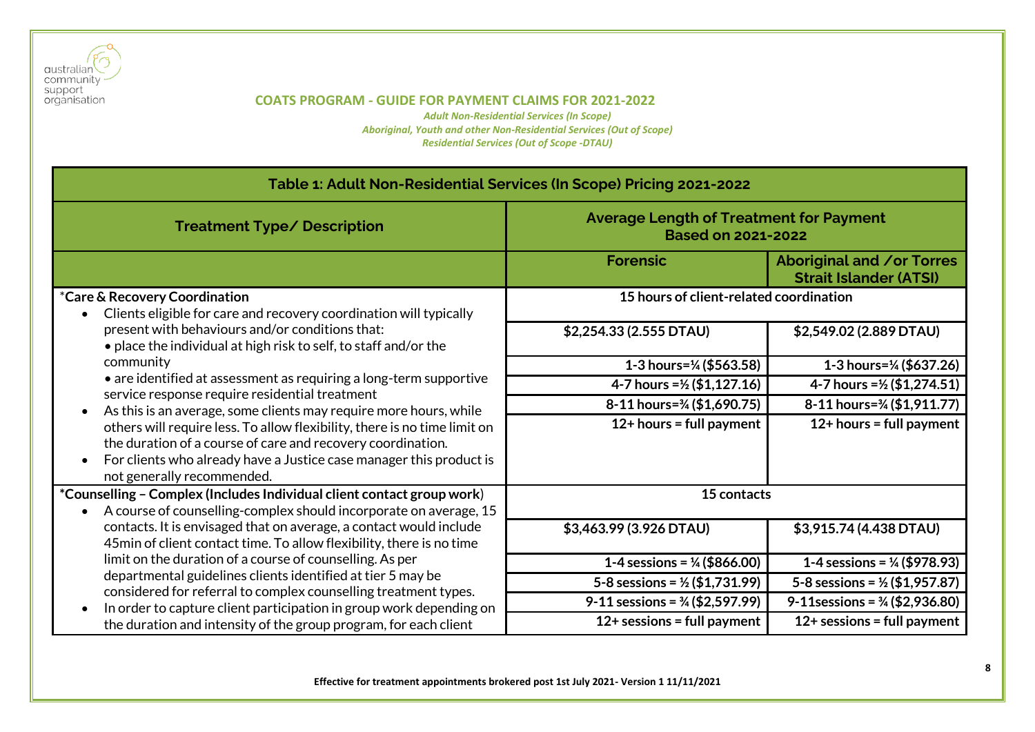

| Table 1: Adult Non-Residential Services (In Scope) Pricing 2021-2022                                                                                                                                                                                                                                                                                                                                                                                                                                                                                                           |                                                                             |                                                            |  |
|--------------------------------------------------------------------------------------------------------------------------------------------------------------------------------------------------------------------------------------------------------------------------------------------------------------------------------------------------------------------------------------------------------------------------------------------------------------------------------------------------------------------------------------------------------------------------------|-----------------------------------------------------------------------------|------------------------------------------------------------|--|
| <b>Treatment Type/ Description</b>                                                                                                                                                                                                                                                                                                                                                                                                                                                                                                                                             | <b>Average Length of Treatment for Payment</b><br><b>Based on 2021-2022</b> |                                                            |  |
|                                                                                                                                                                                                                                                                                                                                                                                                                                                                                                                                                                                | <b>Forensic</b>                                                             | Aboriginal and /or Torres<br><b>Strait Islander (ATSI)</b> |  |
| <i>*Care &amp; Recovery Coordination</i><br>Clients eligible for care and recovery coordination will typically                                                                                                                                                                                                                                                                                                                                                                                                                                                                 | 15 hours of client-related coordination                                     |                                                            |  |
| present with behaviours and/or conditions that:<br>• place the individual at high risk to self, to staff and/or the<br>community<br>• are identified at assessment as requiring a long-term supportive<br>service response require residential treatment<br>As this is an average, some clients may require more hours, while<br>others will require less. To allow flexibility, there is no time limit on<br>the duration of a course of care and recovery coordination.<br>For clients who already have a Justice case manager this product is<br>not generally recommended. | \$2,254.33 (2.555 DTAU)                                                     | \$2,549.02 (2.889 DTAU)                                    |  |
|                                                                                                                                                                                                                                                                                                                                                                                                                                                                                                                                                                                | 1-3 hours= $\frac{1}{4}$ (\$563.58)                                         | 1-3 hours=1/ <sub>4</sub> (\$637.26)                       |  |
|                                                                                                                                                                                                                                                                                                                                                                                                                                                                                                                                                                                | 4-7 hours = $\frac{1}{2}$ (\$1,127.16)                                      | 4-7 hours = 1/2 (\$1,274.51)                               |  |
|                                                                                                                                                                                                                                                                                                                                                                                                                                                                                                                                                                                | 8-11 hours=3/4 (\$1,690.75)                                                 | 8-11 hours=3/4 (\$1,911.77)                                |  |
|                                                                                                                                                                                                                                                                                                                                                                                                                                                                                                                                                                                | $12+$ hours = full payment                                                  | $12+$ hours = full payment                                 |  |
| *Counselling - Complex (Includes Individual client contact group work)<br>A course of counselling-complex should incorporate on average, 15                                                                                                                                                                                                                                                                                                                                                                                                                                    | 15 contacts                                                                 |                                                            |  |
| contacts. It is envisaged that on average, a contact would include<br>45min of client contact time. To allow flexibility, there is no time                                                                                                                                                                                                                                                                                                                                                                                                                                     | \$3,463.99 (3.926 DTAU)                                                     | \$3,915.74 (4.438 DTAU)                                    |  |
| limit on the duration of a course of counselling. As per<br>departmental guidelines clients identified at tier 5 may be                                                                                                                                                                                                                                                                                                                                                                                                                                                        | 1-4 sessions = $\frac{1}{4}$ (\$866.00)                                     | 1-4 sessions = $\frac{1}{4}$ (\$978.93)                    |  |
|                                                                                                                                                                                                                                                                                                                                                                                                                                                                                                                                                                                | 5-8 sessions = $\frac{1}{2}$ (\$1,731.99)                                   | 5-8 sessions = $\frac{1}{2}$ (\$1,957.87)                  |  |
| considered for referral to complex counselling treatment types.<br>In order to capture client participation in group work depending on                                                                                                                                                                                                                                                                                                                                                                                                                                         | 9-11 sessions = $\frac{3}{4}$ (\$2,597.99)                                  | 9-11 sessions = $\frac{3}{4}$ (\$2,936.80)                 |  |
| the duration and intensity of the group program, for each client                                                                                                                                                                                                                                                                                                                                                                                                                                                                                                               | $12+$ sessions = full payment                                               | $12+$ sessions = full payment                              |  |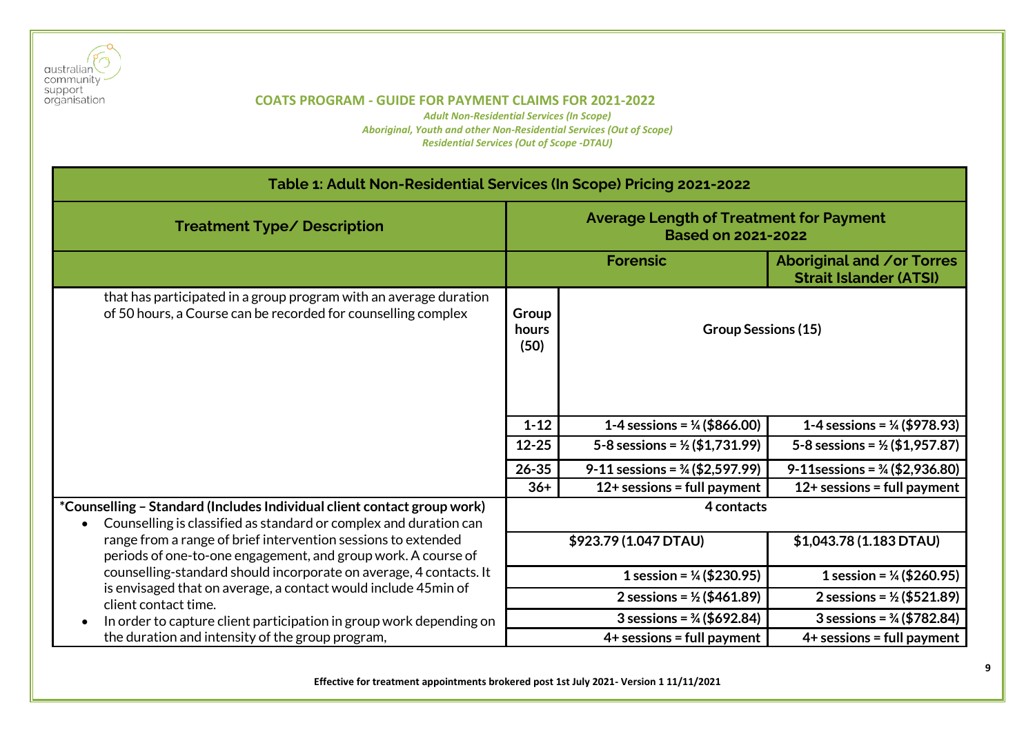

| Table 1: Adult Non-Residential Services (In Scope) Pricing 2021-2022                                                                                                                                 |                                                                                                                |                                                                |                                                                   |
|------------------------------------------------------------------------------------------------------------------------------------------------------------------------------------------------------|----------------------------------------------------------------------------------------------------------------|----------------------------------------------------------------|-------------------------------------------------------------------|
| <b>Treatment Type/ Description</b>                                                                                                                                                                   | <b>Average Length of Treatment for Payment</b><br><b>Based on 2021-2022</b>                                    |                                                                |                                                                   |
|                                                                                                                                                                                                      |                                                                                                                | <b>Forensic</b>                                                | <b>Aboriginal and /or Torres</b><br><b>Strait Islander (ATSI)</b> |
| that has participated in a group program with an average duration<br>of 50 hours, a Course can be recorded for counselling complex                                                                   | Group<br><b>Group Sessions (15)</b><br>hours<br>(50)                                                           |                                                                |                                                                   |
|                                                                                                                                                                                                      | $1 - 12$                                                                                                       | 1-4 sessions = $\frac{1}{4}$ (\$866.00)                        | 1-4 sessions = $\frac{1}{4}$ (\$978.93)                           |
|                                                                                                                                                                                                      | $12 - 25$                                                                                                      | 5-8 sessions = $\frac{1}{2}$ (\$1,731.99)                      | 5-8 sessions = $\frac{1}{2}$ (\$1,957.87)                         |
|                                                                                                                                                                                                      | $26 - 35$                                                                                                      | 9-11 sessions = $\frac{3}{4}$ (\$2,597.99)                     | 9-11 sessions = $\frac{3}{4}$ (\$2,936.80)                        |
|                                                                                                                                                                                                      | $36+$                                                                                                          | $12+$ sessions = full payment<br>$12+$ sessions = full payment |                                                                   |
| *Counselling - Standard (Includes Individual client contact group work)<br>Counselling is classified as standard or complex and duration can                                                         | 4 contacts                                                                                                     |                                                                |                                                                   |
| range from a range of brief intervention sessions to extended<br>periods of one-to-one engagement, and group work. A course of<br>counselling-standard should incorporate on average, 4 contacts. It |                                                                                                                | \$923.79 (1.047 DTAU)                                          | \$1,043.78(1.183 DTAU)                                            |
|                                                                                                                                                                                                      |                                                                                                                | 1 session = $\frac{1}{4}$ (\$230.95)                           | 1 session = $\frac{1}{4}$ (\$260.95)                              |
| is envisaged that on average, a contact would include 45min of<br>client contact time.                                                                                                               | 2 sessions = $\frac{1}{2}$ (\$461.89)<br>3 sessions = $\frac{3}{4}$ (\$692.84)<br>$4+$ sessions = full payment |                                                                | 2 sessions = $\frac{1}{2}$ (\$521.89)                             |
| In order to capture client participation in group work depending on                                                                                                                                  |                                                                                                                |                                                                | 3 sessions = $\frac{3}{4}$ (\$782.84)                             |
| the duration and intensity of the group program,                                                                                                                                                     |                                                                                                                |                                                                | $4+$ sessions = full payment                                      |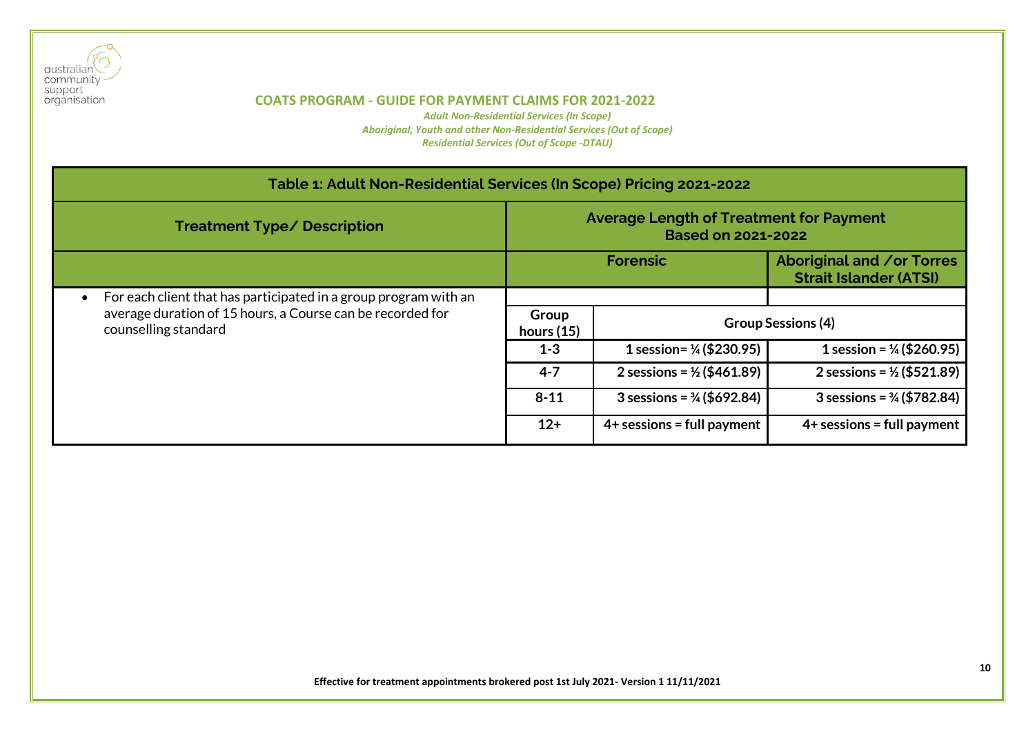

| Table 1: Adult Non-Residential Services (In Scope) Pricing 2021-2022               |                                                                             |                                       |                                                                   |
|------------------------------------------------------------------------------------|-----------------------------------------------------------------------------|---------------------------------------|-------------------------------------------------------------------|
| <b>Treatment Type/ Description</b>                                                 | <b>Average Length of Treatment for Payment</b><br><b>Based on 2021-2022</b> |                                       |                                                                   |
|                                                                                    | <b>Forensic</b>                                                             |                                       | <b>Aboriginal and /or Torres</b><br><b>Strait Islander (ATSI)</b> |
| For each client that has participated in a group program with an                   |                                                                             |                                       |                                                                   |
| average duration of 15 hours, a Course can be recorded for<br>counselling standard | Group<br>hours $(15)$                                                       | <b>Group Sessions (4)</b>             |                                                                   |
|                                                                                    | $1 - 3$                                                                     | 1 session= $\frac{1}{4}$ (\$230.95)   | 1 session = $\frac{1}{4}$ (\$260.95)                              |
|                                                                                    | $4 - 7$                                                                     | 2 sessions = $\frac{1}{2}$ (\$461.89) | 2 sessions = $\frac{1}{2}$ (\$521.89)                             |
|                                                                                    | $8 - 11$                                                                    | 3 sessions = $\frac{3}{4}$ (\$692.84) | $3$ sessions = $\frac{3}{4}$ (\$782.84)                           |
|                                                                                    | $12+$                                                                       | $4+$ sessions = full payment          | $4+$ sessions = full payment                                      |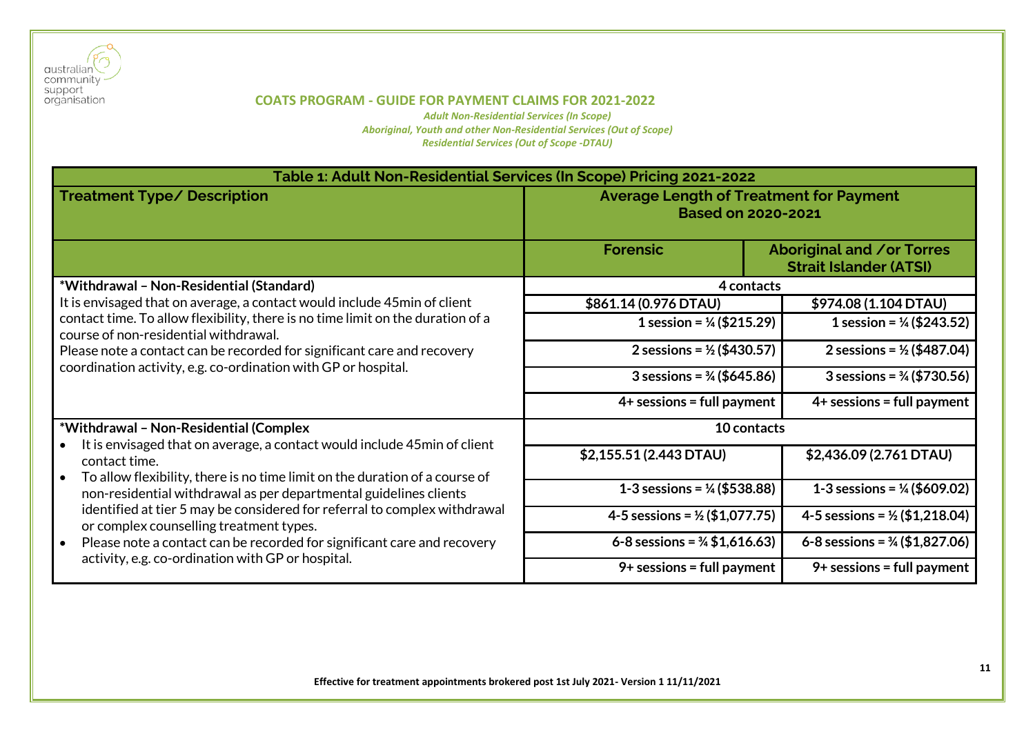

| Table 1: Adult Non-Residential Services (In Scope) Pricing 2021-2022                                                                                                                                                                                                                                                      |                                                                             |                                                            |  |
|---------------------------------------------------------------------------------------------------------------------------------------------------------------------------------------------------------------------------------------------------------------------------------------------------------------------------|-----------------------------------------------------------------------------|------------------------------------------------------------|--|
| <b>Treatment Type/ Description</b>                                                                                                                                                                                                                                                                                        | <b>Average Length of Treatment for Payment</b><br><b>Based on 2020-2021</b> |                                                            |  |
|                                                                                                                                                                                                                                                                                                                           | <b>Forensic</b>                                                             | Aboriginal and /or Torres<br><b>Strait Islander (ATSI)</b> |  |
| *Withdrawal - Non-Residential (Standard)                                                                                                                                                                                                                                                                                  | 4 contacts                                                                  |                                                            |  |
| It is envisaged that on average, a contact would include 45 min of client                                                                                                                                                                                                                                                 | \$861.14 (0.976 DTAU)                                                       | \$974.08 (1.104 DTAU)                                      |  |
| contact time. To allow flexibility, there is no time limit on the duration of a<br>course of non-residential withdrawal.                                                                                                                                                                                                  | 1 session = $\frac{1}{4}$ (\$215.29)                                        | 1 session = $\frac{1}{4}$ (\$243.52)                       |  |
| Please note a contact can be recorded for significant care and recovery<br>coordination activity, e.g. co-ordination with GP or hospital.                                                                                                                                                                                 | 2 sessions = $\frac{1}{2}$ (\$430.57)                                       | 2 sessions = $\frac{1}{2}$ (\$487.04)                      |  |
|                                                                                                                                                                                                                                                                                                                           | 3 sessions = $\frac{3}{4}$ (\$645.86)                                       | 3 sessions = $\frac{3}{4}$ (\$730.56)                      |  |
|                                                                                                                                                                                                                                                                                                                           | $4+$ sessions = full payment                                                | $4+$ sessions = full payment                               |  |
| *Withdrawal - Non-Residential (Complex<br>It is envisaged that on average, a contact would include 45min of client                                                                                                                                                                                                        | 10 contacts                                                                 |                                                            |  |
| contact time.<br>To allow flexibility, there is no time limit on the duration of a course of<br>$\bullet$                                                                                                                                                                                                                 | \$2,155.51 (2.443 DTAU)                                                     | \$2,436.09 (2.761 DTAU)                                    |  |
| non-residential withdrawal as per departmental guidelines clients<br>identified at tier 5 may be considered for referral to complex withdrawal<br>or complex counselling treatment types.<br>Please note a contact can be recorded for significant care and recovery<br>activity, e.g. co-ordination with GP or hospital. | 1-3 sessions = $\frac{1}{4}$ (\$538.88)                                     | 1-3 sessions = $\frac{1}{4}$ (\$609.02)                    |  |
|                                                                                                                                                                                                                                                                                                                           | 4-5 sessions = $\frac{1}{2}$ (\$1,077.75)                                   | 4-5 sessions = $\frac{1}{2}$ (\$1,218.04)                  |  |
|                                                                                                                                                                                                                                                                                                                           | 6-8 sessions = $\frac{3}{4}$ \$1,616.63)                                    | 6-8 sessions = $\frac{3}{4}$ (\$1,827.06)                  |  |
|                                                                                                                                                                                                                                                                                                                           | $9+$ sessions = full payment                                                | $9+$ sessions = full payment                               |  |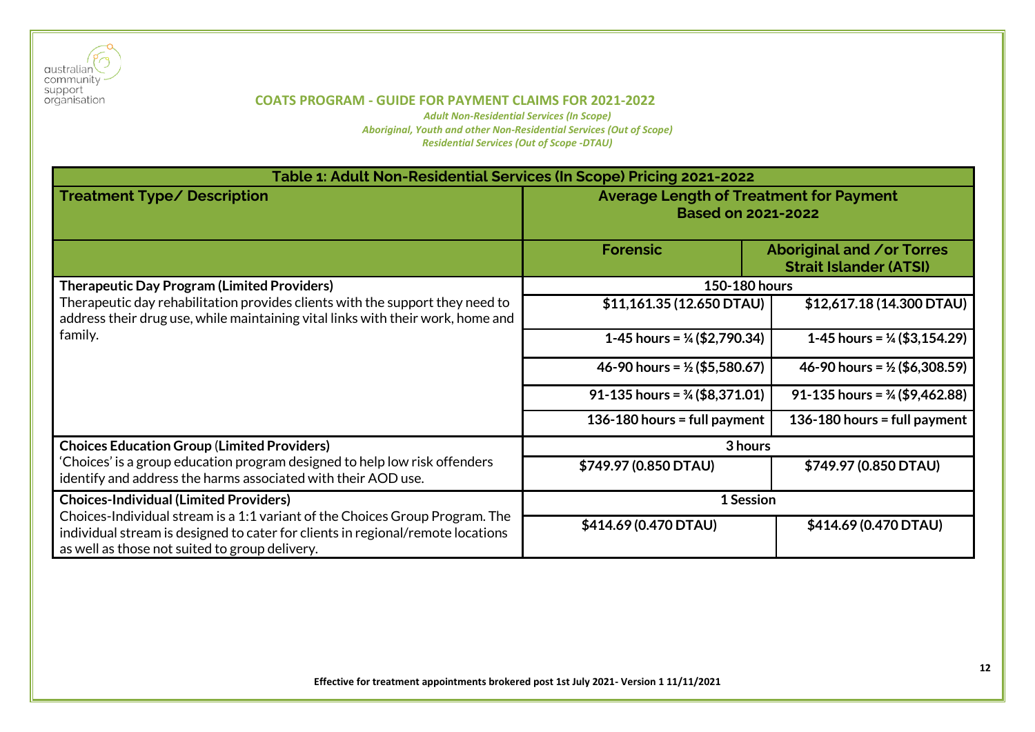

| Table 1: Adult Non-Residential Services (In Scope) Pricing 2021-2022                                                                                                                                              |                                                                             |                                                                   |  |
|-------------------------------------------------------------------------------------------------------------------------------------------------------------------------------------------------------------------|-----------------------------------------------------------------------------|-------------------------------------------------------------------|--|
| <b>Treatment Type/ Description</b>                                                                                                                                                                                | <b>Average Length of Treatment for Payment</b><br><b>Based on 2021-2022</b> |                                                                   |  |
|                                                                                                                                                                                                                   | <b>Forensic</b>                                                             | <b>Aboriginal and /or Torres</b><br><b>Strait Islander (ATSI)</b> |  |
| <b>Therapeutic Day Program (Limited Providers)</b>                                                                                                                                                                | 150-180 hours                                                               |                                                                   |  |
| Therapeutic day rehabilitation provides clients with the support they need to<br>address their drug use, while maintaining vital links with their work, home and                                                  | \$11,161.35 (12.650 DTAU)                                                   | \$12,617.18 (14.300 DTAU)                                         |  |
| family.                                                                                                                                                                                                           | 1-45 hours = $\frac{1}{4}$ (\$2,790.34)                                     | 1-45 hours = $\frac{1}{4}$ (\$3,154.29)                           |  |
|                                                                                                                                                                                                                   | 46-90 hours = $\frac{1}{2}$ (\$5,580.67)                                    | 46-90 hours = $\frac{1}{2}$ (\$6,308.59)                          |  |
|                                                                                                                                                                                                                   | 91-135 hours = $\frac{3}{4}$ (\$8,371.01)                                   | 91-135 hours = $\frac{3}{4}$ (\$9,462.88)                         |  |
|                                                                                                                                                                                                                   | 136-180 hours = full payment                                                | 136-180 hours = full payment                                      |  |
| <b>Choices Education Group (Limited Providers)</b>                                                                                                                                                                | 3 hours                                                                     |                                                                   |  |
| 'Choices' is a group education program designed to help low risk offenders<br>identify and address the harms associated with their AOD use.                                                                       | \$749.97 (0.850 DTAU)                                                       | \$749.97 (0.850 DTAU)                                             |  |
| <b>Choices-Individual (Limited Providers)</b>                                                                                                                                                                     | 1 Session                                                                   |                                                                   |  |
| Choices-Individual stream is a 1:1 variant of the Choices Group Program. The<br>individual stream is designed to cater for clients in regional/remote locations<br>as well as those not suited to group delivery. | \$414.69 (0.470 DTAU)                                                       | \$414.69 (0.470 DTAU)                                             |  |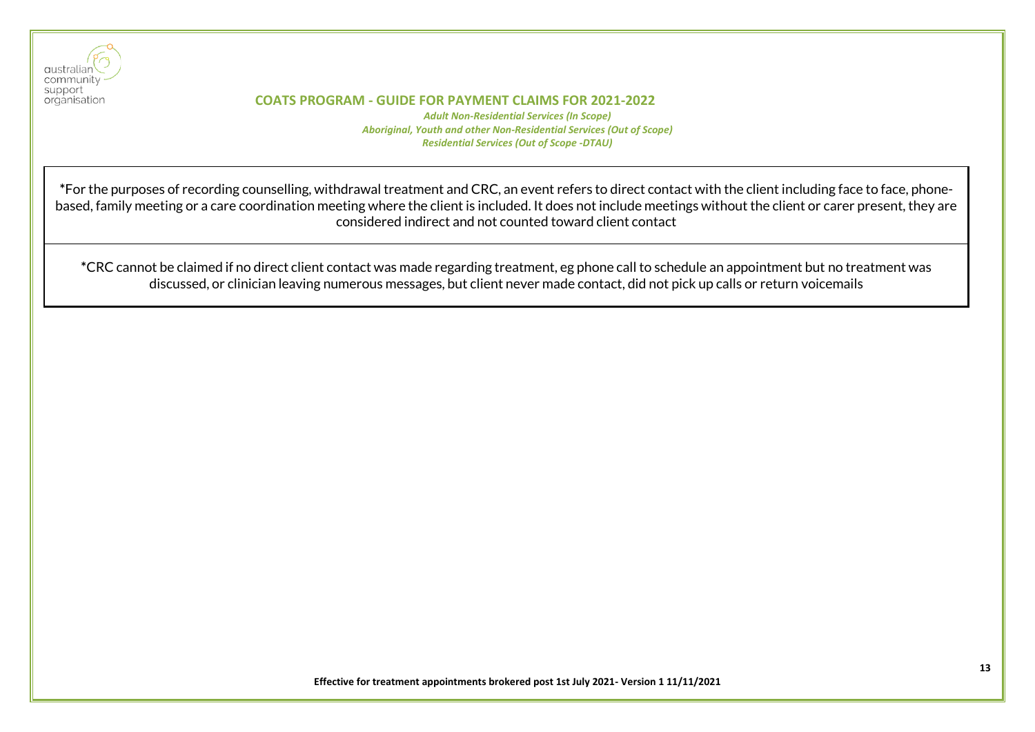

ı

#### **COATS PROGRAM - GUIDE FOR PAYMENT CLAIMS FOR 2021-2022**

*Adult Non-Residential Services (In Scope) Aboriginal, Youth and other Non-Residential Services (Out of Scope) Residential Services (Out of Scope -DTAU)*

**\***For the purposes of recording counselling, withdrawal treatment and CRC, an event refers to direct contact with the client including face to face, phonebased, family meeting or a care coordination meeting where the client is included. It does not include meetings without the client or carer present, they are considered indirect and not counted toward client contact

**\***CRC cannot be claimed if no direct client contact was made regarding treatment, eg phone call to schedule an appointment but no treatment was discussed, or clinician leaving numerous messages, but client never made contact, did not pick up calls or return voicemails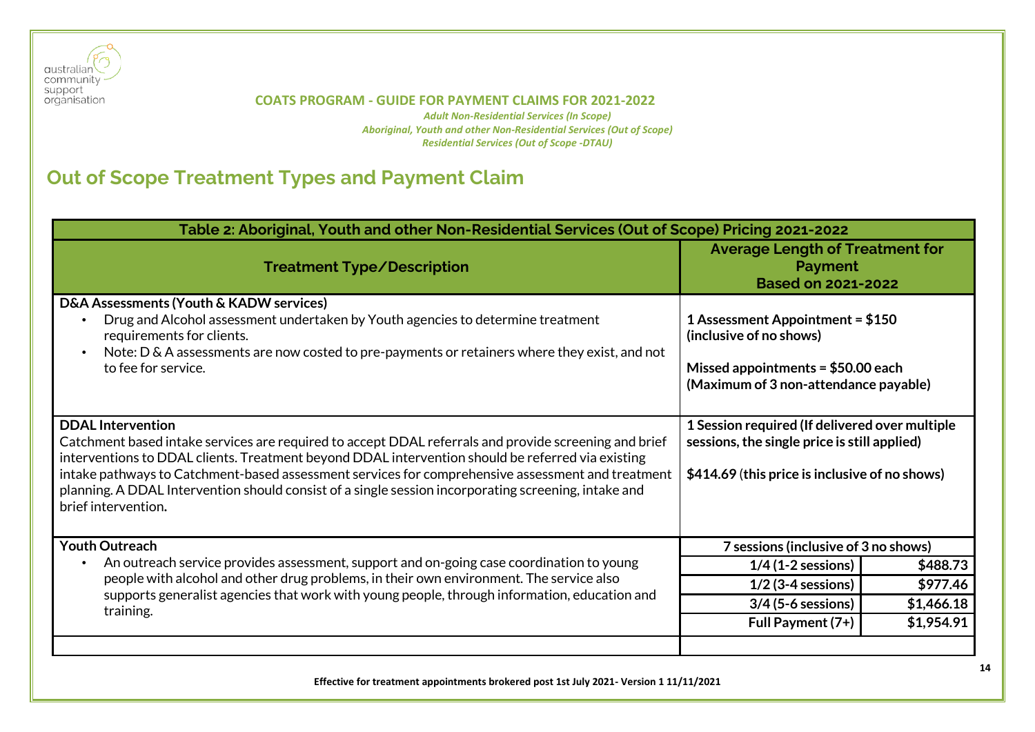

*Adult Non-Residential Services (In Scope) Aboriginal, Youth and other Non-Residential Services (Out of Scope) Residential Services (Out of Scope -DTAU)*

# <span id="page-13-0"></span>**Out of Scope Treatment Types and Payment Claim**

| Table 2: Aboriginal, Youth and other Non-Residential Services (Out of Scope) Pricing 2021-2022                                                                                                                                                                                                                                                                                                                                                                             |                                                                                                                                                  |            |  |
|----------------------------------------------------------------------------------------------------------------------------------------------------------------------------------------------------------------------------------------------------------------------------------------------------------------------------------------------------------------------------------------------------------------------------------------------------------------------------|--------------------------------------------------------------------------------------------------------------------------------------------------|------------|--|
| <b>Treatment Type/Description</b>                                                                                                                                                                                                                                                                                                                                                                                                                                          | <b>Average Length of Treatment for</b><br><b>Payment</b><br><b>Based on 2021-2022</b>                                                            |            |  |
| D&A Assessments (Youth & KADW services)<br>Drug and Alcohol assessment undertaken by Youth agencies to determine treatment<br>requirements for clients.<br>Note: D & A assessments are now costed to pre-payments or retainers where they exist, and not<br>to fee for service.                                                                                                                                                                                            | 1 Assessment Appointment = $$150$<br>(inclusive of no shows)<br>Missed appointments = $$50.00$ each<br>(Maximum of 3 non-attendance payable)     |            |  |
| <b>DDAL Intervention</b><br>Catchment based intake services are required to accept DDAL referrals and provide screening and brief<br>interventions to DDAL clients. Treatment beyond DDAL intervention should be referred via existing<br>intake pathways to Catchment-based assessment services for comprehensive assessment and treatment<br>planning. A DDAL Intervention should consist of a single session incorporating screening, intake and<br>brief intervention. | 1 Session required (If delivered over multiple<br>sessions, the single price is still applied)<br>\$414.69 (this price is inclusive of no shows) |            |  |
| <b>Youth Outreach</b>                                                                                                                                                                                                                                                                                                                                                                                                                                                      | 7 sessions (inclusive of 3 no shows)                                                                                                             |            |  |
| An outreach service provides assessment, support and on-going case coordination to young                                                                                                                                                                                                                                                                                                                                                                                   | $1/4$ (1-2 sessions)                                                                                                                             | \$488.73   |  |
| people with alcohol and other drug problems, in their own environment. The service also<br>supports generalist agencies that work with young people, through information, education and<br>training.                                                                                                                                                                                                                                                                       | $1/2$ (3-4 sessions)                                                                                                                             | \$977.46   |  |
|                                                                                                                                                                                                                                                                                                                                                                                                                                                                            | $3/4$ (5-6 sessions)                                                                                                                             | \$1,466.18 |  |
|                                                                                                                                                                                                                                                                                                                                                                                                                                                                            | Full Payment (7+)                                                                                                                                | \$1,954.91 |  |
|                                                                                                                                                                                                                                                                                                                                                                                                                                                                            |                                                                                                                                                  |            |  |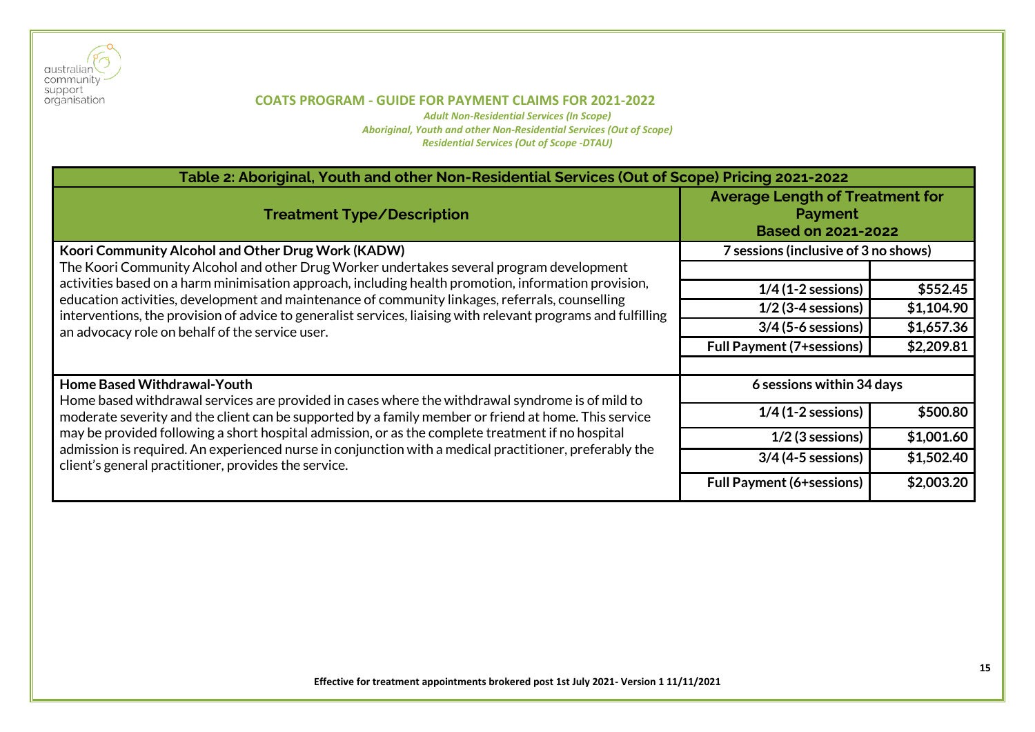

| Table 2: Aboriginal, Youth and other Non-Residential Services (Out of Scope) Pricing 2021-2022                                                                                                          |                                                                                       |            |  |
|---------------------------------------------------------------------------------------------------------------------------------------------------------------------------------------------------------|---------------------------------------------------------------------------------------|------------|--|
| <b>Treatment Type/Description</b>                                                                                                                                                                       | <b>Average Length of Treatment for</b><br><b>Payment</b><br><b>Based on 2021-2022</b> |            |  |
| Koori Community Alcohol and Other Drug Work (KADW)                                                                                                                                                      | 7 sessions (inclusive of 3 no shows)                                                  |            |  |
| The Koori Community Alcohol and other Drug Worker undertakes several program development                                                                                                                |                                                                                       |            |  |
| activities based on a harm minimisation approach, including health promotion, information provision,<br>education activities, development and maintenance of community linkages, referrals, counselling | $1/4$ (1-2 sessions)                                                                  | \$552.45   |  |
| interventions, the provision of advice to generalist services, liaising with relevant programs and fulfilling                                                                                           | $1/2$ (3-4 sessions)                                                                  | \$1,104.90 |  |
| an advocacy role on behalf of the service user.                                                                                                                                                         | $3/4$ (5-6 sessions)                                                                  | \$1,657.36 |  |
|                                                                                                                                                                                                         | <b>Full Payment (7+sessions)</b>                                                      | \$2,209.81 |  |
|                                                                                                                                                                                                         |                                                                                       |            |  |
| <b>Home Based Withdrawal-Youth</b><br>Home based withdrawal services are provided in cases where the withdrawal syndrome is of mild to                                                                  | 6 sessions within 34 days                                                             |            |  |
| moderate severity and the client can be supported by a family member or friend at home. This service                                                                                                    | $1/4$ (1-2 sessions)                                                                  | \$500.80   |  |
| may be provided following a short hospital admission, or as the complete treatment if no hospital                                                                                                       | $1/2$ (3 sessions)                                                                    | \$1,001.60 |  |
| admission is required. An experienced nurse in conjunction with a medical practitioner, preferably the<br>client's general practitioner, provides the service.                                          | $3/4$ (4-5 sessions)                                                                  | \$1,502.40 |  |
|                                                                                                                                                                                                         | <b>Full Payment (6+sessions)</b>                                                      | \$2,003.20 |  |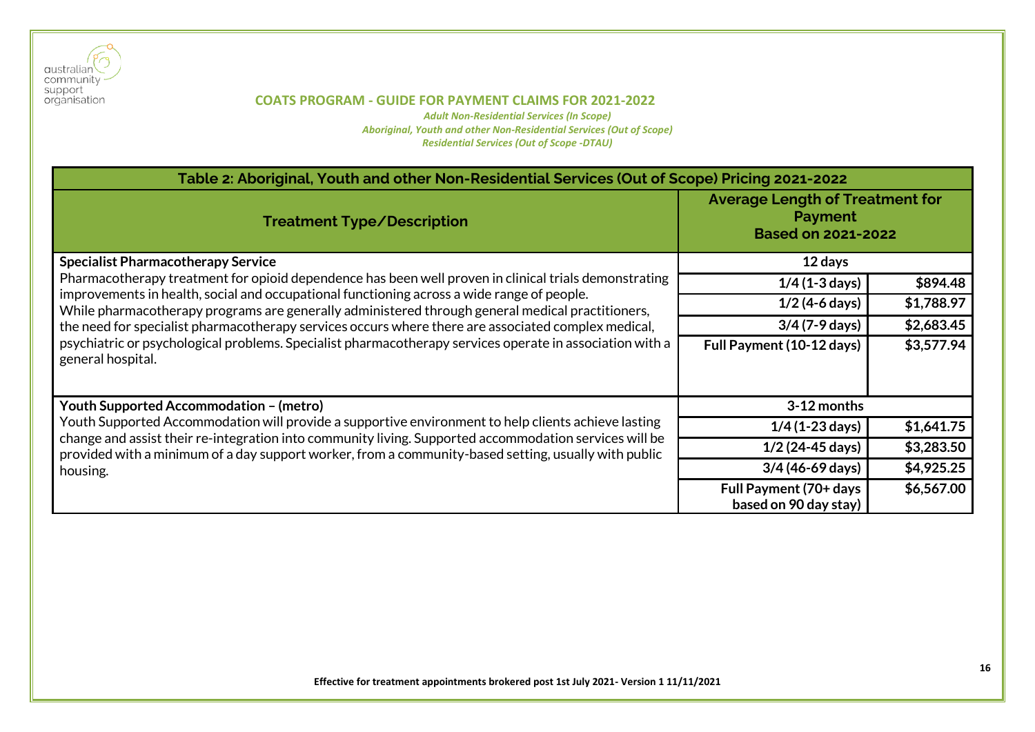

| Table 2: Aboriginal, Youth and other Non-Residential Services (Out of Scope) Pricing 2021-2022                                                                                                                 |                                                 |            |  |
|----------------------------------------------------------------------------------------------------------------------------------------------------------------------------------------------------------------|-------------------------------------------------|------------|--|
| <b>Average Length of Treatment for</b><br><b>Payment</b><br><b>Treatment Type/Description</b><br><b>Based on 2021-2022</b>                                                                                     |                                                 |            |  |
| <b>Specialist Pharmacotherapy Service</b>                                                                                                                                                                      | 12 days                                         |            |  |
| Pharmacotherapy treatment for opioid dependence has been well proven in clinical trials demonstrating                                                                                                          | $1/4$ (1-3 days)                                | \$894.48   |  |
| improvements in health, social and occupational functioning across a wide range of people.<br>While pharmacotherapy programs are generally administered through general medical practitioners,                 | $1/2$ (4-6 days)                                | \$1,788.97 |  |
| the need for specialist pharmacotherapy services occurs where there are associated complex medical,                                                                                                            | $3/4$ (7-9 days)                                | \$2,683.45 |  |
| psychiatric or psychological problems. Specialist pharmacotherapy services operate in association with a<br>general hospital.                                                                                  | Full Payment (10-12 days)                       | \$3,577.94 |  |
| Youth Supported Accommodation - (metro)                                                                                                                                                                        | 3-12 months                                     |            |  |
| Youth Supported Accommodation will provide a supportive environment to help clients achieve lasting                                                                                                            | $1/4$ (1-23 days)                               | \$1,641.75 |  |
| change and assist their re-integration into community living. Supported accommodation services will be<br>provided with a minimum of a day support worker, from a community-based setting, usually with public | $1/2$ (24-45 days)                              | \$3,283.50 |  |
| housing.                                                                                                                                                                                                       | $3/4$ (46-69 days)                              | \$4,925.25 |  |
|                                                                                                                                                                                                                | Full Payment (70+ days<br>based on 90 day stay) | \$6,567.00 |  |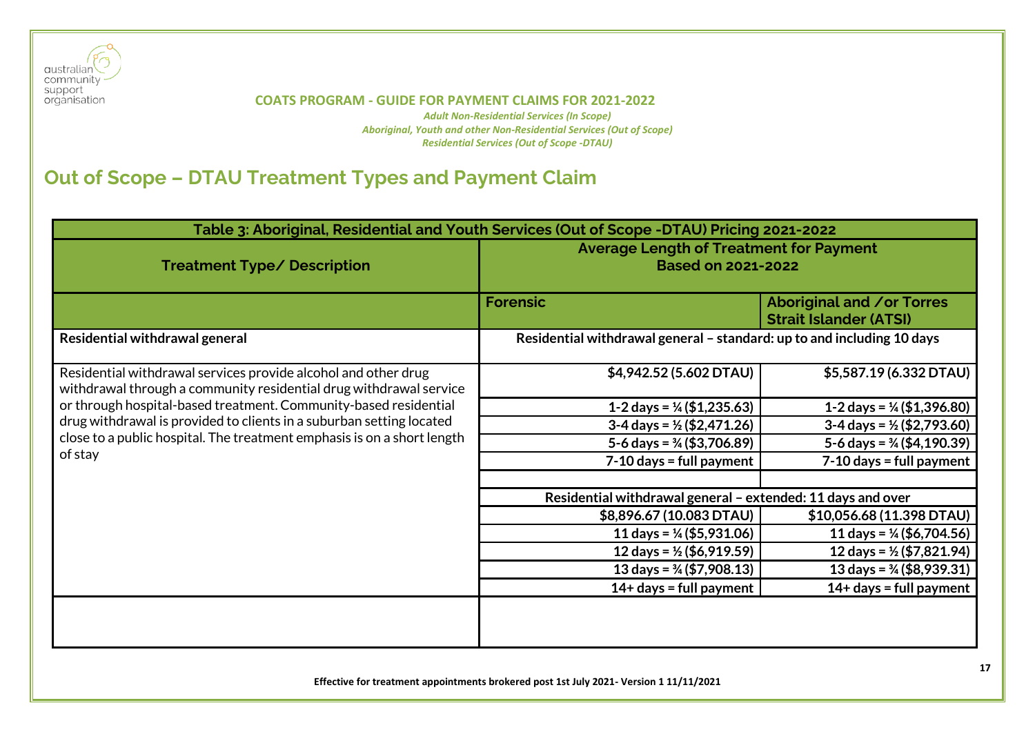

*Adult Non-Residential Services (In Scope) Aboriginal, Youth and other Non-Residential Services (Out of Scope) Residential Services (Out of Scope -DTAU)*

# <span id="page-16-0"></span>**Out of Scope – DTAU Treatment Types and Payment Claim**

| Table 3: Aboriginal, Residential and Youth Services (Out of Scope -DTAU) Pricing 2021-2022                                           |                                                                             |                                                                   |  |
|--------------------------------------------------------------------------------------------------------------------------------------|-----------------------------------------------------------------------------|-------------------------------------------------------------------|--|
| <b>Treatment Type/ Description</b>                                                                                                   | <b>Average Length of Treatment for Payment</b><br><b>Based on 2021-2022</b> |                                                                   |  |
|                                                                                                                                      | <b>Forensic</b>                                                             | <b>Aboriginal and /or Torres</b><br><b>Strait Islander (ATSI)</b> |  |
| Residential withdrawal general                                                                                                       | Residential withdrawal general - standard: up to and including 10 days      |                                                                   |  |
| Residential withdrawal services provide alcohol and other drug<br>withdrawal through a community residential drug withdrawal service | \$4,942.52 (5.602 DTAU)                                                     | \$5,587.19 (6.332 DTAU)                                           |  |
| or through hospital-based treatment. Community-based residential                                                                     | 1-2 days = $\frac{1}{4}$ (\$1,235.63)                                       | 1-2 days = $\frac{1}{4}$ (\$1,396.80)                             |  |
| drug withdrawal is provided to clients in a suburban setting located                                                                 | $3-4$ days = $\frac{1}{2}$ (\$2,471.26)                                     | $3-4$ days = $\frac{1}{2}$ (\$2,793.60)                           |  |
| close to a public hospital. The treatment emphasis is on a short length                                                              | 5-6 days = $\frac{3}{4}$ (\$3,706.89)                                       | 5-6 days = $\frac{3}{4}$ (\$4,190.39)                             |  |
| of stay                                                                                                                              | $7-10$ days = full payment                                                  | $7-10$ days = full payment                                        |  |
|                                                                                                                                      | Residential withdrawal general - extended: 11 days and over                 |                                                                   |  |
|                                                                                                                                      | \$8,896.67 (10.083 DTAU)                                                    | \$10,056.68 (11.398 DTAU)                                         |  |
|                                                                                                                                      | 11 days = $\frac{1}{4}$ (\$5,931.06)                                        | 11 days = $\frac{1}{4}$ (\$6,704.56)                              |  |
|                                                                                                                                      | 12 days = $\frac{1}{2}$ (\$6,919.59)                                        | 12 days = $\frac{1}{2}$ (\$7,821.94)                              |  |
|                                                                                                                                      | 13 days = $\frac{3}{4}$ (\$7,908.13)                                        | 13 days = $\frac{3}{4}$ (\$8,939.31)                              |  |
|                                                                                                                                      | $14+$ days = full payment                                                   | $14+$ days = full payment                                         |  |
|                                                                                                                                      |                                                                             |                                                                   |  |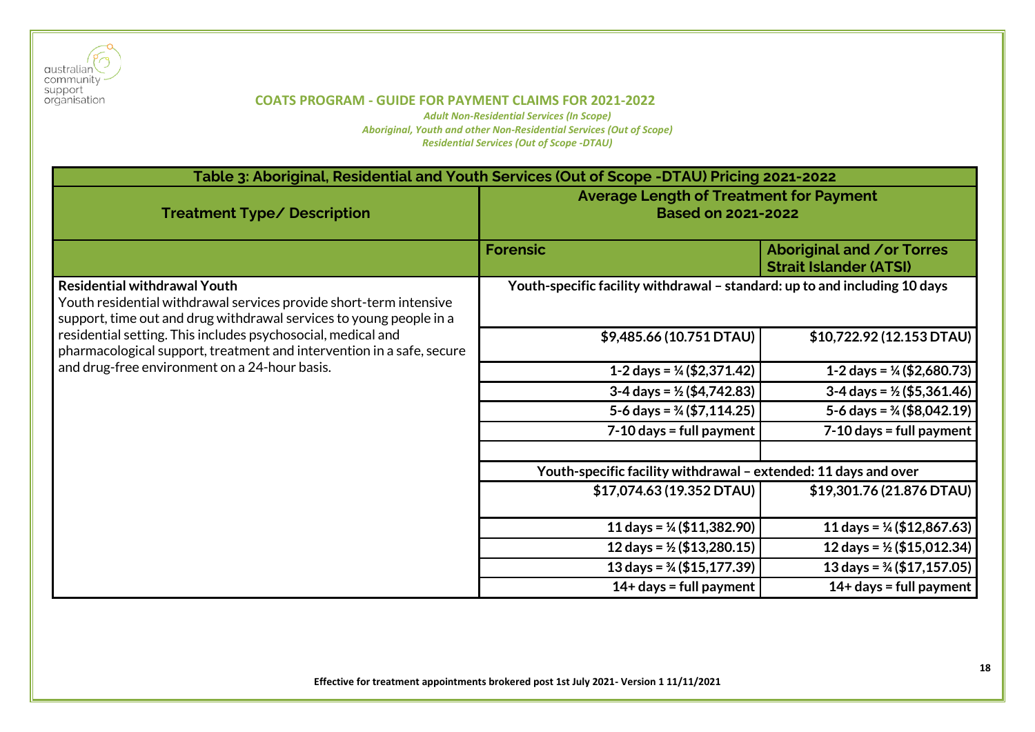

| Table 3: Aboriginal, Residential and Youth Services (Out of Scope -DTAU) Pricing 2021-2022                                                                                       |                                                                             |                                                                   |
|----------------------------------------------------------------------------------------------------------------------------------------------------------------------------------|-----------------------------------------------------------------------------|-------------------------------------------------------------------|
| <b>Treatment Type/ Description</b>                                                                                                                                               | <b>Average Length of Treatment for Payment</b><br><b>Based on 2021-2022</b> |                                                                   |
|                                                                                                                                                                                  | <b>Forensic</b>                                                             | <b>Aboriginal and /or Torres</b><br><b>Strait Islander (ATSI)</b> |
| <b>Residential withdrawal Youth</b><br>Youth residential withdrawal services provide short-term intensive<br>support, time out and drug withdrawal services to young people in a | Youth-specific facility withdrawal - standard: up to and including 10 days  |                                                                   |
| residential setting. This includes psychosocial, medical and<br>pharmacological support, treatment and intervention in a safe, secure                                            | \$9,485.66 (10.751 DTAU)                                                    | \$10,722.92 (12.153 DTAU)                                         |
| and drug-free environment on a 24-hour basis.                                                                                                                                    | 1-2 days = $\frac{1}{4}$ (\$2,371.42)                                       | 1-2 days = $\frac{1}{4}$ (\$2,680.73)                             |
|                                                                                                                                                                                  | $3-4$ days = $\frac{1}{2}$ (\$4,742.83)                                     | $3-4$ days = $\frac{1}{2}$ (\$5,361.46)                           |
|                                                                                                                                                                                  | 5-6 days = $\frac{3}{4}$ (\$7,114.25)                                       | 5-6 days = $\frac{3}{4}$ (\$8,042.19)                             |
|                                                                                                                                                                                  | $7-10$ days = full payment                                                  | $7-10$ days = full payment                                        |
|                                                                                                                                                                                  | Youth-specific facility withdrawal - extended: 11 days and over             |                                                                   |
|                                                                                                                                                                                  | \$17,074.63 (19.352 DTAU)                                                   | \$19,301.76 (21.876 DTAU)                                         |
|                                                                                                                                                                                  | 11 days = $\frac{1}{4}$ (\$11,382.90)                                       | 11 days = $\frac{1}{4}$ (\$12,867.63)                             |
|                                                                                                                                                                                  | 12 days = $\frac{1}{2}$ (\$13,280.15)                                       | 12 days = $\frac{1}{2}$ (\$15,012.34)                             |
|                                                                                                                                                                                  | 13 days = $\frac{3}{4}$ (\$15,177.39)                                       | 13 days = $\frac{3}{4}$ (\$17,157.05)                             |
|                                                                                                                                                                                  | $14+$ days = full payment                                                   | $14+$ days = full payment                                         |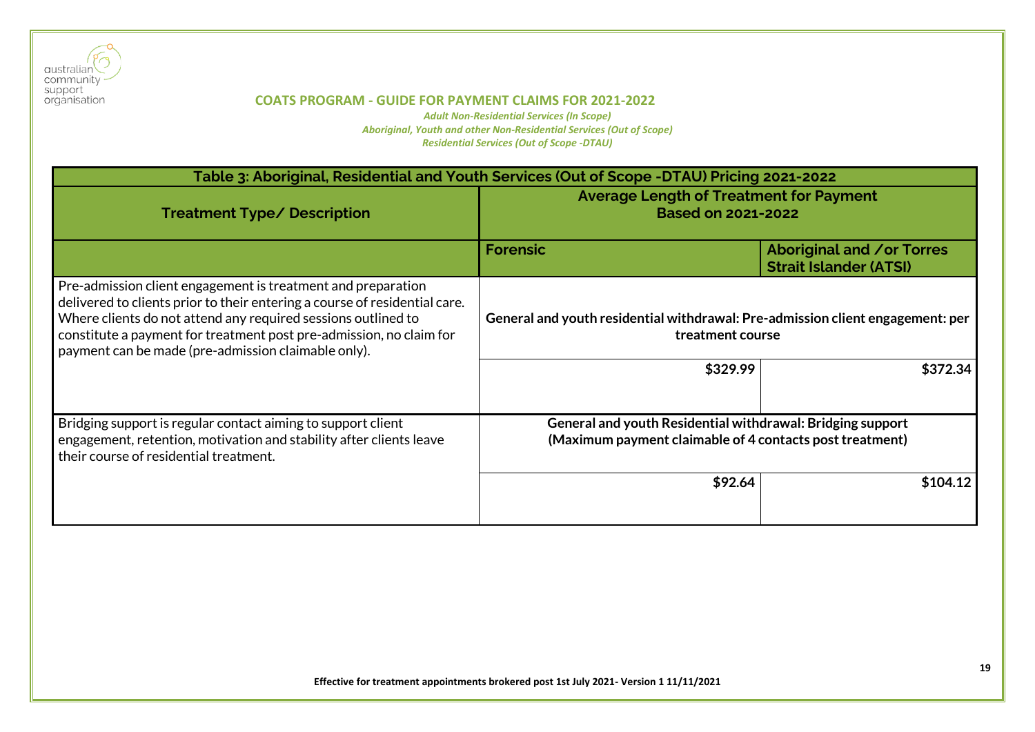

| Table 3: Aboriginal, Residential and Youth Services (Out of Scope -DTAU) Pricing 2021-2022                                                                                                                                                                                                                                                |                                                                                                                        |                                                                   |
|-------------------------------------------------------------------------------------------------------------------------------------------------------------------------------------------------------------------------------------------------------------------------------------------------------------------------------------------|------------------------------------------------------------------------------------------------------------------------|-------------------------------------------------------------------|
| <b>Treatment Type/ Description</b>                                                                                                                                                                                                                                                                                                        | <b>Average Length of Treatment for Payment</b><br><b>Based on 2021-2022</b>                                            |                                                                   |
|                                                                                                                                                                                                                                                                                                                                           | <b>Forensic</b>                                                                                                        | <b>Aboriginal and /or Torres</b><br><b>Strait Islander (ATSI)</b> |
| Pre-admission client engagement is treatment and preparation<br>delivered to clients prior to their entering a course of residential care.<br>Where clients do not attend any required sessions outlined to<br>constitute a payment for treatment post pre-admission, no claim for<br>payment can be made (pre-admission claimable only). | General and youth residential withdrawal: Pre-admission client engagement: per<br>treatment course<br>\$329.99         | \$372.34                                                          |
| Bridging support is regular contact aiming to support client<br>engagement, retention, motivation and stability after clients leave<br>their course of residential treatment.                                                                                                                                                             | General and youth Residential withdrawal: Bridging support<br>(Maximum payment claimable of 4 contacts post treatment) |                                                                   |
|                                                                                                                                                                                                                                                                                                                                           | \$92.64                                                                                                                | \$104.12                                                          |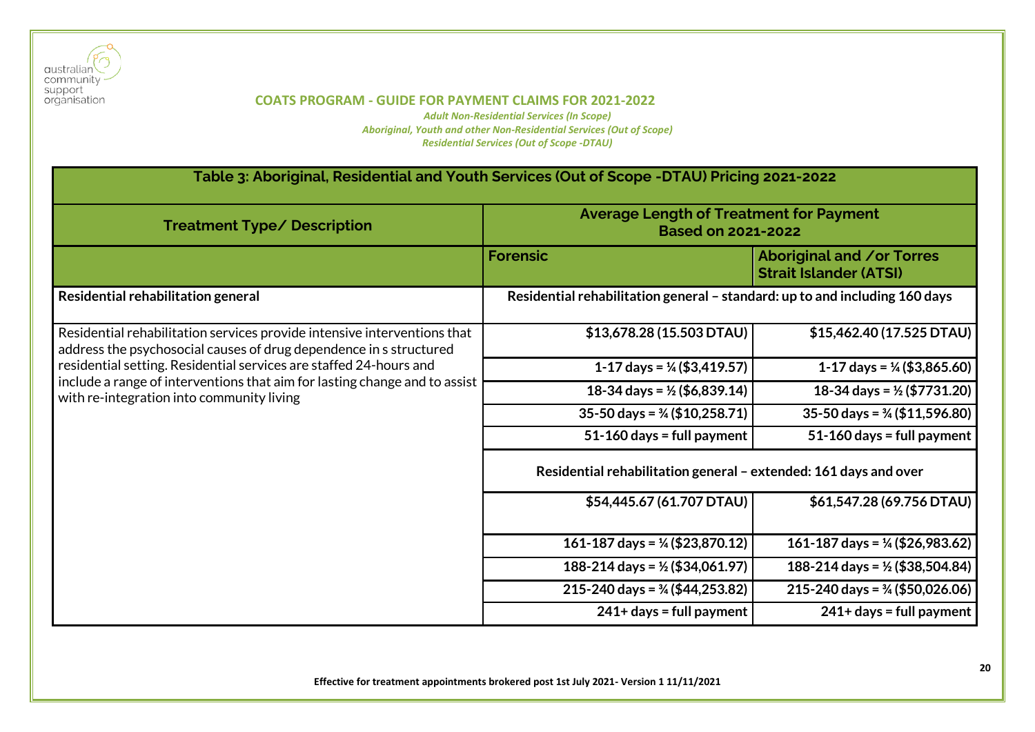

*Adult Non-Residential Services (In Scope) Aboriginal, Youth and other Non-Residential Services (Out of Scope) Residential Services (Out of Scope -DTAU)*

# **Table 3: Aboriginal, Residential and Youth Services (Out of Scope -DTAU) Pricing 2021-2022**

| <b>Treatment Type/ Description</b>                                                                                                             | <b>Average Length of Treatment for Payment</b><br><b>Based on 2021-2022</b> |                                                                   |
|------------------------------------------------------------------------------------------------------------------------------------------------|-----------------------------------------------------------------------------|-------------------------------------------------------------------|
|                                                                                                                                                | <b>Forensic</b>                                                             | <b>Aboriginal and /or Torres</b><br><b>Strait Islander (ATSI)</b> |
| Residential rehabilitation general                                                                                                             | Residential rehabilitation general - standard: up to and including 160 days |                                                                   |
| Residential rehabilitation services provide intensive interventions that<br>address the psychosocial causes of drug dependence in s structured | \$13,678.28 (15.503 DTAU)                                                   | \$15,462.40 (17.525 DTAU)                                         |
| residential setting. Residential services are staffed 24-hours and                                                                             | 1-17 days = $\frac{1}{4}$ (\$3,419.57)                                      | 1-17 days = $\frac{1}{4}$ (\$3,865.60)                            |
| include a range of interventions that aim for lasting change and to assist<br>with re-integration into community living                        | 18-34 days = $\frac{1}{2}$ (\$6,839.14)                                     | 18-34 days = $\frac{1}{2}$ (\$7731.20)                            |
|                                                                                                                                                | $35-50$ days = $\frac{3}{4}$ (\$10,258.71)                                  | $35-50$ days = $\frac{3}{4}$ (\$11,596.80)                        |
|                                                                                                                                                | $51-160$ days = full payment                                                | $51-160$ days = full payment                                      |
|                                                                                                                                                | Residential rehabilitation general - extended: 161 days and over            |                                                                   |
|                                                                                                                                                | \$54,445.67 (61.707 DTAU)                                                   | \$61,547.28 (69.756 DTAU)                                         |
|                                                                                                                                                | 161-187 days = $\frac{1}{4}$ (\$23,870.12)                                  | 161-187 days = $\frac{1}{4}$ (\$26,983.62)                        |
|                                                                                                                                                | 188-214 days = $\frac{1}{2}$ (\$34,061.97)                                  | 188-214 days = $\frac{1}{2}$ (\$38,504.84)                        |
|                                                                                                                                                | $215 - 240$ days = $\frac{3}{4}$ (\$44,253.82)                              | 215-240 days = $\frac{3}{4}$ (\$50,026.06)                        |
|                                                                                                                                                | $241+ days = full payment$                                                  | $241+ days = full payment$                                        |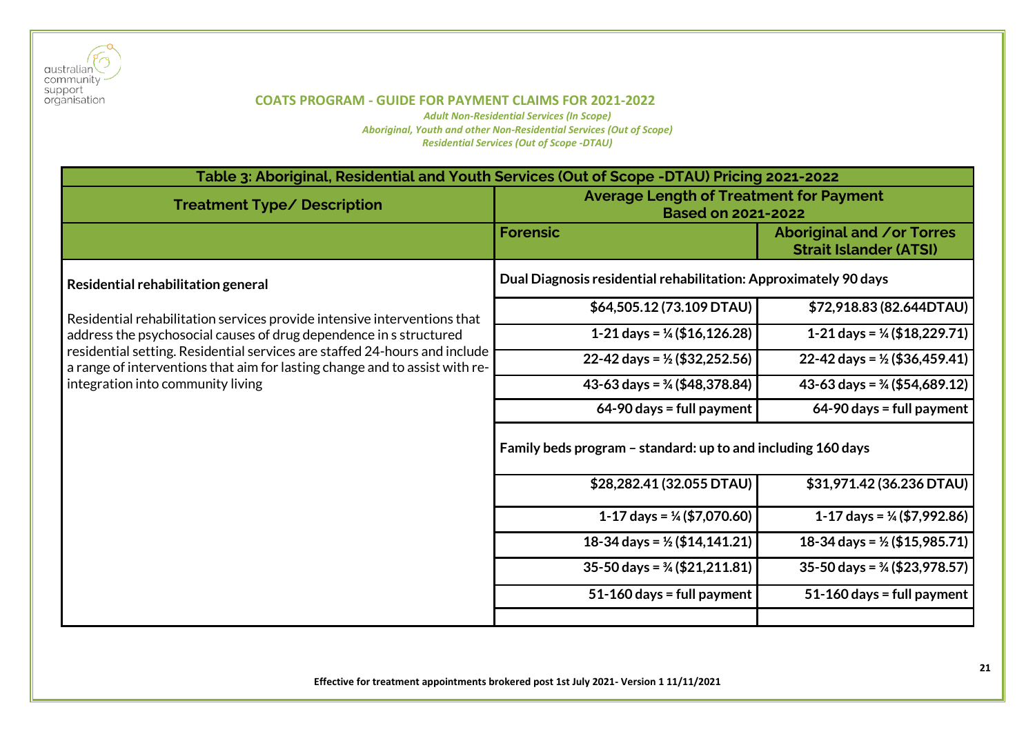

| Table 3: Aboriginal, Residential and Youth Services (Out of Scope -DTAU) Pricing 2021-2022                                                                |                                                                             |                                                            |
|-----------------------------------------------------------------------------------------------------------------------------------------------------------|-----------------------------------------------------------------------------|------------------------------------------------------------|
| <b>Treatment Type/ Description</b>                                                                                                                        | <b>Average Length of Treatment for Payment</b><br><b>Based on 2021-2022</b> |                                                            |
|                                                                                                                                                           | <b>Forensic</b>                                                             | Aboriginal and /or Torres<br><b>Strait Islander (ATSI)</b> |
| Residential rehabilitation general                                                                                                                        | Dual Diagnosis residential rehabilitation: Approximately 90 days            |                                                            |
| Residential rehabilitation services provide intensive interventions that                                                                                  | \$64,505.12 (73.109 DTAU)                                                   | \$72,918.83 (82.644DTAU)                                   |
| address the psychosocial causes of drug dependence in s structured                                                                                        | 1-21 days = $\frac{1}{4}$ (\$16,126.28)                                     | 1-21 days = $\frac{1}{4}$ (\$18,229.71)                    |
| residential setting. Residential services are staffed 24-hours and include<br>a range of interventions that aim for lasting change and to assist with re- | 22-42 days = $\frac{1}{2}$ (\$32,252.56)                                    | 22-42 days = $\frac{1}{2}$ (\$36,459.41)                   |
| integration into community living                                                                                                                         | 43-63 days = $\frac{3}{4}$ (\$48,378.84)                                    | 43-63 days = $\frac{3}{4}$ (\$54,689.12)                   |
|                                                                                                                                                           | $64-90$ days = full payment                                                 | $64-90$ days = full payment                                |
|                                                                                                                                                           | Family beds program - standard: up to and including 160 days                |                                                            |
|                                                                                                                                                           | \$28,282.41 (32.055 DTAU)                                                   | \$31,971.42 (36.236 DTAU)                                  |
|                                                                                                                                                           | 1-17 days = $\frac{1}{4}$ (\$7,070.60)                                      | 1-17 days = $\frac{1}{4}$ (\$7,992.86)                     |
|                                                                                                                                                           | 18-34 days = $\frac{1}{2}$ (\$14,141.21)                                    | 18-34 days = $\frac{1}{2}$ (\$15,985.71)                   |
|                                                                                                                                                           | $35-50$ days = $\frac{3}{4}$ (\$21,211.81)                                  | $35-50$ days = $\frac{3}{4}$ (\$23,978.57)                 |
|                                                                                                                                                           | $51-160$ days = full payment                                                | 51-160 days = full payment                                 |
|                                                                                                                                                           |                                                                             |                                                            |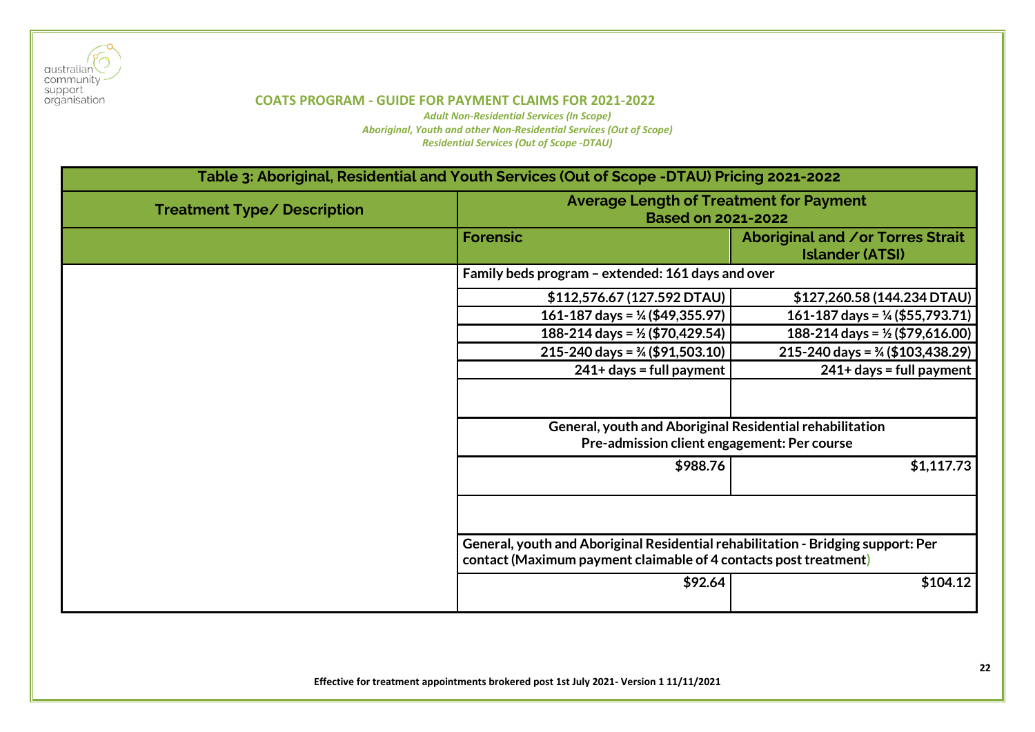

| Table 3: Aboriginal, Residential and Youth Services (Out of Scope -DTAU) Pricing 2021-2022 |                                                                                                                                                      |                                                            |
|--------------------------------------------------------------------------------------------|------------------------------------------------------------------------------------------------------------------------------------------------------|------------------------------------------------------------|
| <b>Treatment Type/ Description</b>                                                         | <b>Average Length of Treatment for Payment</b><br><b>Based on 2021-2022</b>                                                                          |                                                            |
|                                                                                            | <b>Forensic</b>                                                                                                                                      | Aboriginal and /or Torres Strait<br><b>Islander (ATSI)</b> |
|                                                                                            | Family beds program - extended: 161 days and over                                                                                                    |                                                            |
|                                                                                            | \$112,576.67 (127.592 DTAU)                                                                                                                          | \$127,260.58 (144.234 DTAU)                                |
|                                                                                            | 161-187 days = $\frac{1}{4}$ (\$49,355.97)                                                                                                           | 161-187 days = $\frac{1}{4}$ (\$55,793.71)                 |
|                                                                                            | 188-214 days = $\frac{1}{2}$ (\$70,429.54)                                                                                                           | 188-214 days = $\frac{1}{2}$ (\$79,616.00)                 |
|                                                                                            | $215 - 240$ days = $\frac{3}{4}$ (\$91,503.10)                                                                                                       | $215 - 240$ days = $\frac{3}{4}$ (\$103,438.29)            |
|                                                                                            | $241+$ days = full payment                                                                                                                           | $241+$ days = full payment                                 |
|                                                                                            | General, youth and Aboriginal Residential rehabilitation                                                                                             |                                                            |
|                                                                                            | Pre-admission client engagement: Per course                                                                                                          |                                                            |
|                                                                                            | \$988.76                                                                                                                                             | \$1,117.73                                                 |
|                                                                                            |                                                                                                                                                      |                                                            |
|                                                                                            | General, youth and Aboriginal Residential rehabilitation - Bridging support: Per<br>contact (Maximum payment claimable of 4 contacts post treatment) |                                                            |
|                                                                                            | \$92.64                                                                                                                                              | \$104.12                                                   |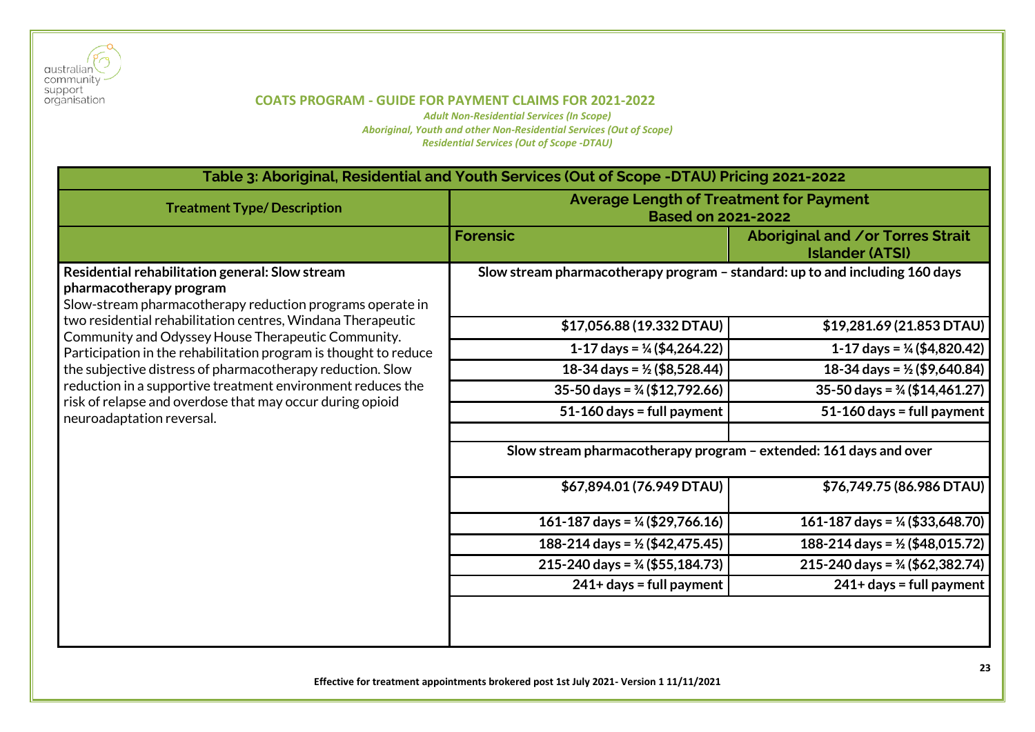

| Table 3: Aboriginal, Residential and Youth Services (Out of Scope -DTAU) Pricing 2021-2022                                                            |                                                                              |                                                            |
|-------------------------------------------------------------------------------------------------------------------------------------------------------|------------------------------------------------------------------------------|------------------------------------------------------------|
| <b>Treatment Type/Description</b>                                                                                                                     | <b>Average Length of Treatment for Payment</b><br><b>Based on 2021-2022</b>  |                                                            |
|                                                                                                                                                       | <b>Forensic</b>                                                              | Aboriginal and /or Torres Strait<br><b>Islander (ATSI)</b> |
| Residential rehabilitation general: Slow stream<br>pharmacotherapy program<br>Slow-stream pharmacotherapy reduction programs operate in               | Slow stream pharmacotherapy program - standard: up to and including 160 days |                                                            |
| two residential rehabilitation centres, Windana Therapeutic<br>Community and Odyssey House Therapeutic Community.                                     | \$17,056.88 (19.332 DTAU)                                                    | \$19,281.69 (21.853 DTAU)                                  |
| Participation in the rehabilitation program is thought to reduce                                                                                      | 1-17 days = $\frac{1}{4}$ (\$4,264.22)                                       | 1-17 days = $\frac{1}{4}$ (\$4,820.42)                     |
| the subjective distress of pharmacotherapy reduction. Slow                                                                                            | 18-34 days = $\frac{1}{2}$ (\$8,528.44)                                      | 18-34 days = $\frac{1}{2}$ (\$9,640.84)                    |
| reduction in a supportive treatment environment reduces the<br>risk of relapse and overdose that may occur during opioid<br>neuroadaptation reversal. | 35-50 days = $\frac{3}{4}$ (\$12,792.66)                                     | 35-50 days = $\frac{3}{4}$ (\$14,461.27)                   |
|                                                                                                                                                       | $51-160$ days = full payment                                                 | $51-160$ days = full payment                               |
|                                                                                                                                                       | Slow stream pharmacotherapy program - extended: 161 days and over            |                                                            |
|                                                                                                                                                       | \$67,894.01 (76.949 DTAU)                                                    | \$76,749.75 (86.986 DTAU)                                  |
|                                                                                                                                                       | 161-187 days = $\frac{1}{4}$ (\$29,766.16)                                   | 161-187 days = $\frac{1}{4}$ (\$33,648.70)                 |
|                                                                                                                                                       | 188-214 days = $\frac{1}{2}$ (\$42,475.45)                                   | 188-214 days = $\frac{1}{2}$ (\$48,015.72)                 |
|                                                                                                                                                       | 215-240 days = $\frac{3}{4}$ (\$55,184.73)                                   | $215 - 240$ days = $\frac{3}{4}$ (\$62,382.74)             |
|                                                                                                                                                       | 241+ days = full payment                                                     | 241+ days = full payment                                   |
|                                                                                                                                                       |                                                                              |                                                            |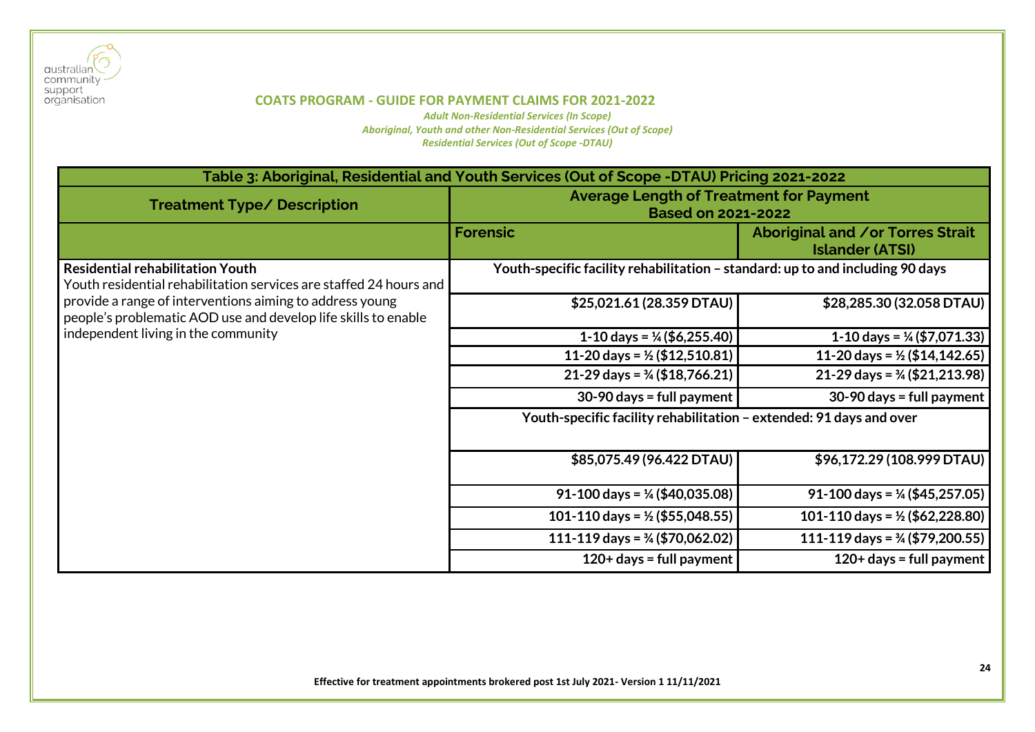

| Table 3: Aboriginal, Residential and Youth Services (Out of Scope -DTAU) Pricing 2021-2022                                 |                                                                                |                                                            |
|----------------------------------------------------------------------------------------------------------------------------|--------------------------------------------------------------------------------|------------------------------------------------------------|
| <b>Treatment Type/ Description</b>                                                                                         | <b>Average Length of Treatment for Payment</b><br><b>Based on 2021-2022</b>    |                                                            |
|                                                                                                                            | <b>Forensic</b>                                                                | Aboriginal and /or Torres Strait<br><b>Islander (ATSI)</b> |
| <b>Residential rehabilitation Youth</b><br>Youth residential rehabilitation services are staffed 24 hours and              | Youth-specific facility rehabilitation - standard: up to and including 90 days |                                                            |
| provide a range of interventions aiming to address young<br>people's problematic AOD use and develop life skills to enable | \$25,021.61 (28.359 DTAU)                                                      | \$28,285.30 (32.058 DTAU)                                  |
| independent living in the community                                                                                        | 1-10 days = $\frac{1}{4}$ (\$6,255.40)                                         | 1-10 days = $\frac{1}{4}$ (\$7,071.33)                     |
|                                                                                                                            | 11-20 days = $\frac{1}{2}$ (\$12,510.81)                                       | 11-20 days = $\frac{1}{2}$ (\$14,142.65)                   |
|                                                                                                                            | 21-29 days = $\frac{3}{4}$ (\$18,766.21)                                       | 21-29 days = $\frac{3}{4}$ (\$21,213.98)                   |
|                                                                                                                            | $30-90$ days = full payment                                                    | $30-90$ days = full payment                                |
|                                                                                                                            | Youth-specific facility rehabilitation - extended: 91 days and over            |                                                            |
|                                                                                                                            | \$85,075.49 (96.422 DTAU)                                                      | \$96,172.29 (108.999 DTAU)                                 |
|                                                                                                                            | 91-100 days = $\frac{1}{4}$ (\$40,035.08)                                      | 91-100 days = $\frac{1}{4}$ (\$45,257.05)                  |
|                                                                                                                            | 101-110 days = $\frac{1}{2}$ (\$55,048.55)                                     | 101-110 days = $\frac{1}{2}$ (\$62,228.80)                 |
|                                                                                                                            | 111-119 days = $\frac{3}{4}$ (\$70,062.02)                                     | 111-119 days = $\frac{3}{4}$ (\$79,200.55)                 |
|                                                                                                                            | $120+$ days = full payment                                                     | $120+ days = full payment$                                 |